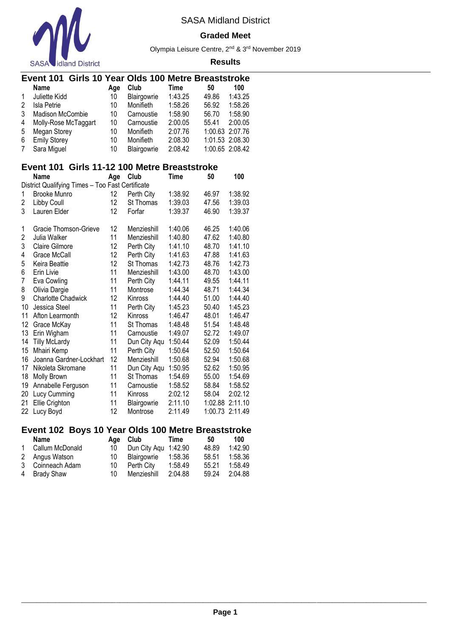

#### **Graded Meet**

Olympia Leisure Centre, 2nd & 3rd November 2019

#### **Results**

|              | Event 101 Girls 10 Year Olds 100 Metre Breaststroke |     |             |         |                 |         |
|--------------|-----------------------------------------------------|-----|-------------|---------|-----------------|---------|
|              | <b>Name</b>                                         | Age | Club        | Time    | 50              | 100     |
| $\mathbf{1}$ | Juliette Kidd                                       | 10  | Blairgowrie | 1:43.25 | 49.86           | 1:43.25 |
| 2            | Isla Petrie                                         | 10  | Monifieth   | 1:58.26 | 56.92           | 1:58.26 |
| 3            | <b>Madison McCombie</b>                             | 10  | Carnoustie  | 1:58.90 | 56.70           | 1:58.90 |
| 4            | Molly-Rose McTaggart                                | 10  | Carnoustie  | 2:00.05 | 55.41           | 2:00.05 |
| 5            | Megan Storey                                        | 10  | Monifieth   | 2:07.76 | 1:00.63 2:07.76 |         |
| 6            | <b>Emily Storey</b>                                 | 10  | Monifieth   | 2:08.30 | 1:01.53 2:08.30 |         |
| 7            | Sara Miguel                                         | 10  | Blairgowrie | 2:08.42 | 1:00.65 2:08.42 |         |

### **Event 101 Girls 11-12 100 Metre Breaststroke**

|    | Name                                             | Age | Club         | <b>Time</b> | 50      | 100     |
|----|--------------------------------------------------|-----|--------------|-------------|---------|---------|
|    | District Qualifying Times - Too Fast Certificate |     |              |             |         |         |
| 1  | <b>Brooke Munro</b>                              | 12  | Perth City   | 1:38.92     | 46.97   | 1:38.92 |
| 2  | Libby Coull                                      | 12  | St Thomas    | 1:39.03     | 47.56   | 1:39.03 |
| 3  | Lauren Elder                                     | 12  | Forfar       | 1:39.37     | 46.90   | 1:39.37 |
| 1  | Gracie Thomson-Grieve                            | 12  | Menzieshill  | 1:40.06     | 46.25   | 1:40.06 |
| 2  | Julia Walker                                     | 11  | Menzieshill  | 1:40.80     | 47.62   | 1:40.80 |
| 3  | <b>Claire Gilmore</b>                            | 12  | Perth City   | 1:41.10     | 48.70   | 1:41.10 |
| 4  | Grace McCall                                     | 12  | Perth City   | 1:41.63     | 47.88   | 1:41.63 |
| 5  | Keira Beattie                                    | 12  | St Thomas    | 1:42.73     | 48.76   | 1:42.73 |
| 6  | Erin Livie                                       | 11  | Menzieshill  | 1:43.00     | 48.70   | 1:43.00 |
| 7  | Eva Cowling                                      | 11  | Perth City   | 1:44.11     | 49.55   | 1:44.11 |
| 8  | Olivia Dargie                                    | 11  | Montrose     | 1:44.34     | 48.71   | 1:44.34 |
| 9  | <b>Charlotte Chadwick</b>                        | 12  | Kinross      | 1:44.40     | 51.00   | 1:44.40 |
| 10 | Jessica Steel                                    | 11  | Perth City   | 1:45.23     | 50.40   | 1:45.23 |
| 11 | Afton Learmonth                                  | 12  | Kinross      | 1:46.47     | 48.01   | 1:46.47 |
| 12 | Grace McKay                                      | 11  | St Thomas    | 1:48.48     | 51.54   | 1:48.48 |
| 13 | Erin Wigham                                      | 11  | Carnoustie   | 1:49.07     | 52.72   | 1:49.07 |
| 14 | <b>Tilly McLardy</b>                             | 11  | Dun City Aqu | 1:50.44     | 52.09   | 1:50.44 |
| 15 | Mhairi Kemp                                      | 11  | Perth City   | 1:50.64     | 52.50   | 1:50.64 |
| 16 | Joanna Gardner-Lockhart                          | 12  | Menzieshill  | 1:50.68     | 52.94   | 1:50.68 |
| 17 | Nikoleta Skromane                                | 11  | Dun City Aqu | 1:50.95     | 52.62   | 1:50.95 |
| 18 | Molly Brown                                      | 11  | St Thomas    | 1:54.69     | 55.00   | 1:54.69 |
| 19 | Annabelle Ferguson                               | 11  | Carnoustie   | 1:58.52     | 58.84   | 1:58.52 |
| 20 | Lucy Cumming                                     | 11  | Kinross      | 2:02.12     | 58.04   | 2:02.12 |
| 21 | Ellie Crighton                                   | 11  | Blairgowrie  | 2:11.10     | 1:02.88 | 2:11.10 |
| 22 | Lucy Boyd                                        | 12  | Montrose     | 2:11.49     | 1:00.73 | 2:11.49 |

# **Event 102 Boys 10 Year Olds 100 Metre Breaststroke**

| <b>Name</b>      | Aae | Club                 | Time    | 50    | 100     |
|------------------|-----|----------------------|---------|-------|---------|
| Callum McDonald  | 10  | Dun City Aqu 1:42.90 |         | 48.89 | 1:42.90 |
| 2 Angus Watson   | 10. | Blairgowrie          | 1:58.36 | 58.51 | 1:58.36 |
| 3 Coinneach Adam | 10  | Perth Citv           | 1:58.49 | 55.21 | 1:58.49 |
| 4 Brady Shaw     | 10. | Menzieshill          | 2:04.88 | 59.24 | 2:04.88 |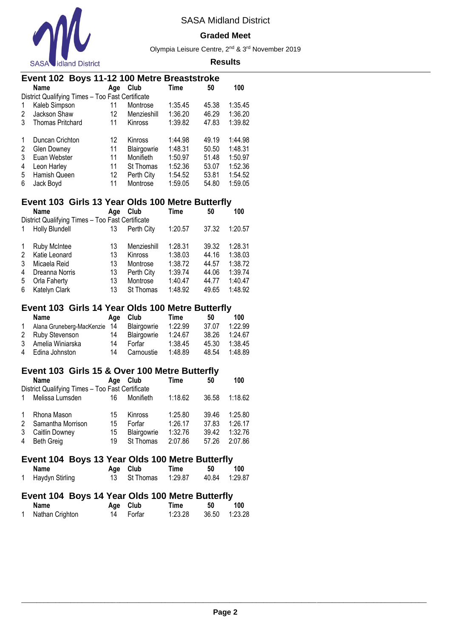

#### **Graded Meet**

Olympia Leisure Centre, 2nd & 3rd November 2019

#### **Results**

|   | Event 102 Boys 11-12 100 Metre Breaststroke      |                   |                  |         |       |         |  |  |  |  |  |
|---|--------------------------------------------------|-------------------|------------------|---------|-------|---------|--|--|--|--|--|
|   | <b>Name</b>                                      | Age               | Club             | Time    | 50    | 100     |  |  |  |  |  |
|   | District Qualifying Times - Too Fast Certificate |                   |                  |         |       |         |  |  |  |  |  |
| 1 | Kaleb Simpson                                    | 11                | Montrose         | 1:35.45 | 45.38 | 1:35.45 |  |  |  |  |  |
| 2 | Jackson Shaw                                     | 12                | Menzieshill      | 1:36.20 | 46.29 | 1:36.20 |  |  |  |  |  |
| 3 | <b>Thomas Pritchard</b>                          | 11                | Kinross          | 1:39.82 | 47.83 | 1:39.82 |  |  |  |  |  |
| 1 | Duncan Crichton                                  | 12                | Kinross          | 1:44.98 | 49.19 | 1:44.98 |  |  |  |  |  |
| 2 | Glen Downey                                      | 11                | Blairgowrie      | 1:48.31 | 50.50 | 1:48.31 |  |  |  |  |  |
| 3 | Euan Webster                                     | 11                | Monifieth        | 1:50.97 | 51.48 | 1:50.97 |  |  |  |  |  |
| 4 | Leon Harley                                      | 11                | <b>St Thomas</b> | 1:52.36 | 53.07 | 1:52.36 |  |  |  |  |  |
| 5 | Hamish Queen                                     | $12 \overline{ }$ | Perth City       | 1:54.52 | 53.81 | 1:54.52 |  |  |  |  |  |
| 6 | Jack Boyd                                        | 11                | Montrose         | 1:59.05 | 54.80 | 1:59.05 |  |  |  |  |  |

# **Event 103 Girls 13 Year Olds 100 Metre Butterfly**

|   | Name                                             | Age | Club        | Time    | 50    | 100     |
|---|--------------------------------------------------|-----|-------------|---------|-------|---------|
|   | District Qualifying Times - Too Fast Certificate |     |             |         |       |         |
|   | <b>Holly Blundell</b>                            | 13  | Perth City  | 1:20.57 | 37.32 | 1:20.57 |
|   |                                                  |     |             |         |       |         |
|   | <b>Ruby McIntee</b>                              | 13  | Menzieshill | 1:28.31 | 39.32 | 1:28.31 |
| 2 | Katie Leonard                                    | 13  | Kinross     | 1:38.03 | 44.16 | 1:38.03 |
| 3 | Micaela Reid                                     | 13  | Montrose    | 1:38.72 | 44.57 | 1:38.72 |
| 4 | Dreanna Norris                                   | 13  | Perth City  | 1:39.74 | 44.06 | 1:39.74 |
| 5 | Orla Faherty                                     | 13  | Montrose    | 1:40.47 | 44.77 | 1:40.47 |
| 6 | Katelyn Clark                                    | 13  | St Thomas   | 1:48.92 | 49.65 | 1:48.92 |

### **Event 103 Girls 14 Year Olds 100 Metre Butterfly**

| Name                         | Aae | Club        | Time    | 50    | 100     |
|------------------------------|-----|-------------|---------|-------|---------|
| Alana Gruneberg-MacKenzie 14 |     | Blairgowrie | 1:22.99 | 37.07 | 1:22.99 |
| 2 Ruby Stevenson             | 14  | Blairgowrie | 1:24.67 | 38.26 | 1:24.67 |
| 3 Amelia Winiarska           | 14  | Forfar      | 1:38.45 | 45.30 | 1:38.45 |
| 4 Edina Johnston             | 14  | Carnoustie  | 1:48.89 | 48.54 | 1:48.89 |

### **Event 103 Girls 15 & Over 100 Metre Butterfly**

|              | <b>Name</b>                                      | Age | Club        | Time    | 50    | 100     |  |  |  |  |
|--------------|--------------------------------------------------|-----|-------------|---------|-------|---------|--|--|--|--|
|              | District Qualifying Times - Too Fast Certificate |     |             |         |       |         |  |  |  |  |
|              | Melissa Lumsden                                  | 16  | Monifieth   | 1:18.62 | 36.58 | 1:18.62 |  |  |  |  |
| $\mathbf{1}$ | Rhona Mason                                      | 15  | Kinross     | 1:25.80 | 39.46 | 1:25.80 |  |  |  |  |
| 2            | Samantha Morrison                                | 15  | Forfar      | 1:26.17 | 37.83 | 1:26.17 |  |  |  |  |
| 3            | Caitlin Downey                                   | 15  | Blairgowrie | 1:32.76 | 39.42 | 1:32.76 |  |  |  |  |
| 4            | <b>Beth Greig</b>                                | 19  | St Thomas   | 2:07.86 | 57.26 | 2:07.86 |  |  |  |  |

### **Event 104 Boys 13 Year Olds 100 Metre Butterfly**

| Name              | Age Club              | Time | 50 | 100           |
|-------------------|-----------------------|------|----|---------------|
| 1 Haydyn Stirling | 13 St Thomas  1:29.87 |      |    | 40.84 1:29.87 |

# **Event 104 Boys 14 Year Olds 100 Metre Butterfly**

| Name            | Age Club  | Time    | 50 | 100           |
|-----------------|-----------|---------|----|---------------|
| Nathan Crighton | 14 Forfar | 1:23.28 |    | 36.50 1:23.28 |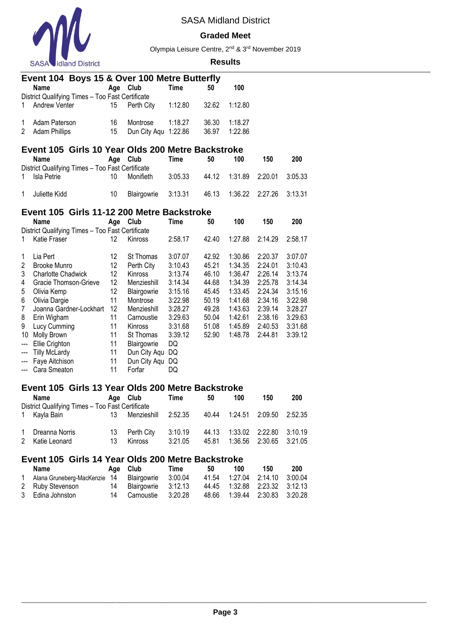

#### **Graded Meet**

Olympia Leisure Centre, 2nd & 3rd November 2019

#### **Results**

|              | Event 104 Boys 15 & Over 100 Metre Butterfly      |     |                      |         |       |         |     |     |  |  |
|--------------|---------------------------------------------------|-----|----------------------|---------|-------|---------|-----|-----|--|--|
|              | Name                                              | Age | Club                 | Time    | 50    | 100     |     |     |  |  |
|              | District Qualifying Times - Too Fast Certificate  |     |                      |         |       |         |     |     |  |  |
| $\mathbf{1}$ | Andrew Venter                                     | 15  | Perth City           | 1:12.80 | 32.62 | 1:12.80 |     |     |  |  |
| 1            | Adam Paterson                                     | 16  | Montrose             | 1:18.27 | 36.30 | 1:18.27 |     |     |  |  |
|              | 2 Adam Phillips                                   | 15  | Dun City Agu 1:22.86 |         | 36.97 | 1:22.86 |     |     |  |  |
|              | Event 105 Girls 10 Year Olds 200 Metre Backstroke |     |                      |         |       |         |     |     |  |  |
|              | <b>Name</b>                                       | Age | Club                 | Time    | 50    | 100     | 150 | 200 |  |  |

| <b>Name</b>                                      |    | Age Club            | l ime   | 50 | 100 | 150                              | 200 |
|--------------------------------------------------|----|---------------------|---------|----|-----|----------------------------------|-----|
| District Qualifying Times - Too Fast Certificate |    |                     |         |    |     |                                  |     |
| 1 Isla Petrie                                    | 10 | Monifieth           | 3:05.33 |    |     | 44.12 1:31.89 2:20.01 3:05.33    |     |
|                                                  |    |                     |         |    |     |                                  |     |
| 1 Juliette Kidd                                  | 10 | Blairgowrie 3:13.31 |         |    |     | 46.13  1:36.22  2:27.26  3:13.31 |     |

### **Event 105 Girls 11-12 200 Metre Backstroke**

|     | <b>Name</b>                                      | Age | Club         | Time    | 50    | 100     | 150     | 200     |
|-----|--------------------------------------------------|-----|--------------|---------|-------|---------|---------|---------|
|     | District Qualifying Times - Too Fast Certificate |     |              |         |       |         |         |         |
| 1   | Katie Fraser                                     | 12. | Kinross      | 2:58.17 | 42.40 | 1:27.88 | 2:14.29 | 2:58.17 |
| 1   | Lia Pert                                         | 12  | St Thomas    | 3:07.07 | 42.92 | 1:30.86 | 2:20.37 | 3:07.07 |
| 2   | Brooke Munro                                     | 12  | Perth City   | 3:10.43 | 45.21 | 1:34.35 | 2:24.01 | 3:10.43 |
| 3   | <b>Charlotte Chadwick</b>                        | 12  | Kinross      | 3:13.74 | 46.10 | 1:36.47 | 2:26.14 | 3:13.74 |
| 4   | Gracie Thomson-Grieve                            | 12  | Menzieshill  | 3:14.34 | 44.68 | 1:34.39 | 2:25.78 | 3:14.34 |
| 5   | Olivia Kemp                                      | 12  | Blairgowrie  | 3:15.16 | 45.45 | 1:33.45 | 2:24.34 | 3:15.16 |
| 6   | Olivia Dargie                                    | 11  | Montrose     | 3:22.98 | 50.19 | 1:41.68 | 2:34.16 | 3:22.98 |
| 7   | Joanna Gardner-Lockhart                          | 12  | Menzieshill  | 3:28.27 | 49.28 | 1:43.63 | 2:39.14 | 3:28.27 |
| 8   | Erin Wigham                                      | 11  | Carnoustie   | 3:29.63 | 50.04 | 1:42.61 | 2:38.16 | 3:29.63 |
| 9   | Lucy Cumming                                     | 11  | Kinross      | 3:31.68 | 51.08 | 1:45.89 | 2:40.53 | 3:31.68 |
| 10  | Molly Brown                                      | 11  | St Thomas    | 3:39.12 | 52.90 | 1:48.78 | 2:44.81 | 3:39.12 |
| --- | Ellie Crighton                                   | 11  | Blairgowrie  | DQ      |       |         |         |         |
| --- | <b>Tilly McLardy</b>                             | 11  | Dun City Aqu | DQ      |       |         |         |         |
| --- | Faye Aitchison                                   | 11  | Dun City Aqu | DQ      |       |         |         |         |
|     | --- Cara Smeaton                                 | 11  | Forfar       | DQ      |       |         |         |         |

### **Event 105 Girls 13 Year Olds 200 Metre Backstroke**

|                                                  |            |                       | Time               | 50             | 100                           | 150                                        | 200     |  |  |
|--------------------------------------------------|------------|-----------------------|--------------------|----------------|-------------------------------|--------------------------------------------|---------|--|--|
| District Qualifying Times - Too Fast Certificate |            |                       |                    |                |                               |                                            |         |  |  |
| 1 Kayla Bain                                     | 13.        | Menzieshill 2:52.35   |                    |                | 40.44 1:24.51 2:09.50 2:52.35 |                                            |         |  |  |
| 1 Dreanna Norris<br>2 Katie Leonard              | 13.<br>13. | Perth City<br>Kinross | 3:10.19<br>3:21.05 | 44.13<br>45.81 |                               | 1:33.02 2:22.80<br>1:36.56 2:30.65 3:21.05 | 3:10.19 |  |  |

# **Event 105 Girls 14 Year Olds 200 Metre Backstroke**

| Name                                             | Age Club               | Time    | 50 | 100 | 150                           | 200 |
|--------------------------------------------------|------------------------|---------|----|-----|-------------------------------|-----|
| Alana Gruneberg-MacKenzie 14 Blairgowrie 3:00.04 |                        |         |    |     | 41.54 1:27.04 2:14.10 3:00.04 |     |
| 2 Ruby Stevenson                                 | 14 Blairgowrie 3:12.13 |         |    |     | 44.45 1:32.88 2:23.32 3:12.13 |     |
| 3 Edina Johnston                                 | 14 Carnoustie          | 3:20.28 |    |     | 48.66 1:39.44 2:30.83 3:20.28 |     |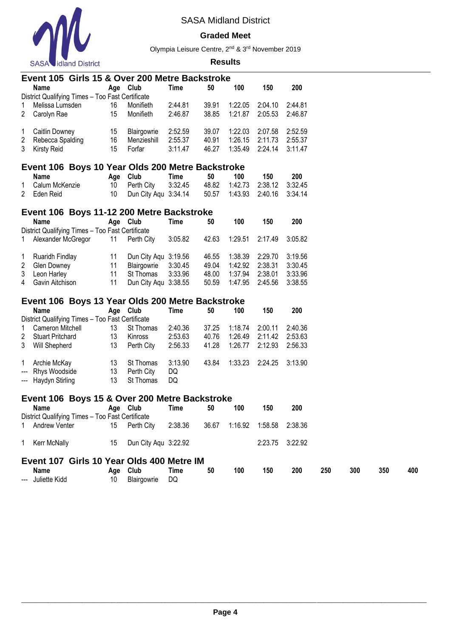

### **Graded Meet**

Olympia Leisure Centre, 2nd & 3rd November 2019

| 1<br>$\overline{2}$<br>1<br>2<br>3<br>1<br>2 | Name<br>District Qualifying Times - Too Fast Certificate<br>Melissa Lumsden<br>Carolyn Rae<br>Caitlin Downey<br>Rebecca Spalding<br><b>Kirsty Reid</b> | 16<br>15<br>15<br>16 | Age Club<br>Monifieth<br>Monifieth<br>Blairgowrie | Time<br>2:44.81<br>2:46.87 | 50<br>39.91<br>38.85 | 100<br>1:22.05<br>1:21.87 | 150<br>2:04.10 | 200<br>2:44.81 |     |     |     |
|----------------------------------------------|--------------------------------------------------------------------------------------------------------------------------------------------------------|----------------------|---------------------------------------------------|----------------------------|----------------------|---------------------------|----------------|----------------|-----|-----|-----|
|                                              |                                                                                                                                                        |                      |                                                   |                            |                      |                           |                |                |     |     |     |
|                                              |                                                                                                                                                        |                      |                                                   |                            |                      |                           |                |                |     |     |     |
|                                              |                                                                                                                                                        |                      |                                                   |                            |                      |                           |                | 2:46.87        |     |     |     |
|                                              |                                                                                                                                                        |                      |                                                   |                            |                      |                           | 2:05.53        |                |     |     |     |
|                                              |                                                                                                                                                        |                      |                                                   | 2:52.59                    | 39.07                | 1:22.03                   | 2:07.58        | 2:52.59        |     |     |     |
|                                              |                                                                                                                                                        |                      | Menzieshill                                       | 2:55.37                    | 40.91                | 1:26.15                   | 2:11.73        | 2:55.37        |     |     |     |
|                                              |                                                                                                                                                        | 15                   | Forfar                                            | 3:11.47                    | 46.27                | 1:35.49                   | 2:24.14        | 3:11.47        |     |     |     |
|                                              |                                                                                                                                                        |                      |                                                   |                            |                      |                           |                |                |     |     |     |
|                                              | Event 106 Boys 10 Year Olds 200 Metre Backstroke<br><b>Name</b>                                                                                        | Age                  | Club                                              | Time                       | 50                   | 100                       | 150            | 200            |     |     |     |
|                                              | Calum McKenzie                                                                                                                                         | 10                   | Perth City                                        | 3:32.45                    | 48.82                | 1:42.73                   | 2:38.12        | 3:32.45        |     |     |     |
|                                              | Eden Reid                                                                                                                                              | 10                   | Dun City Aqu 3:34.14                              |                            | 50.57                | 1:43.93                   | 2:40.16        | 3:34.14        |     |     |     |
|                                              |                                                                                                                                                        |                      |                                                   |                            |                      |                           |                |                |     |     |     |
|                                              | Event 106 Boys 11-12 200 Metre Backstroke                                                                                                              |                      |                                                   |                            |                      |                           |                |                |     |     |     |
|                                              | Name<br>District Qualifying Times - Too Fast Certificate                                                                                               |                      | Age Club                                          | Time                       | 50                   | 100                       | 150            | 200            |     |     |     |
| 1                                            | Alexander McGregor                                                                                                                                     | 11                   | Perth City                                        | 3:05.82                    | 42.63                | 1:29.51                   | 2:17.49        | 3:05.82        |     |     |     |
|                                              |                                                                                                                                                        |                      |                                                   |                            |                      |                           |                |                |     |     |     |
| 1                                            | Ruaridh Findlay                                                                                                                                        | 11                   | Dun City Aqu 3:19.56                              |                            | 46.55                | 1:38.39                   | 2:29.70        | 3:19.56        |     |     |     |
| 2                                            | Glen Downey                                                                                                                                            | 11                   | Blairgowrie                                       | 3:30.45                    | 49.04                | 1:42.92                   | 2:38.31        | 3:30.45        |     |     |     |
| 3                                            | Leon Harley                                                                                                                                            | 11                   | St Thomas                                         | 3:33.96                    | 48.00                | 1:37.94                   | 2:38.01        | 3:33.96        |     |     |     |
| 4                                            | Gavin Aitchison                                                                                                                                        | 11                   | Dun City Aqu 3:38.55                              |                            | 50.59                | 1:47.95                   | 2:45.56        | 3:38.55        |     |     |     |
|                                              | Event 106 Boys 13 Year Olds 200 Metre Backstroke                                                                                                       |                      |                                                   |                            |                      |                           |                |                |     |     |     |
|                                              | <b>Name</b>                                                                                                                                            |                      | Age Club                                          | Time                       | 50                   | 100                       | 150            | 200            |     |     |     |
|                                              | District Qualifying Times - Too Fast Certificate                                                                                                       |                      |                                                   |                            |                      |                           |                |                |     |     |     |
| 1                                            | Cameron Mitchell                                                                                                                                       | 13                   | St Thomas                                         | 2:40.36                    | 37.25                | 1:18.74                   | 2:00.11        | 2:40.36        |     |     |     |
| 2                                            | <b>Stuart Pritchard</b>                                                                                                                                | 13                   | Kinross                                           | 2:53.63                    | 40.76                | 1:26.49                   | 2:11.42        | 2:53.63        |     |     |     |
| 3                                            | <b>Will Shepherd</b>                                                                                                                                   | 13                   | Perth City                                        | 2:56.33                    | 41.28                | 1:26.77                   | 2:12.93        | 2:56.33        |     |     |     |
|                                              |                                                                                                                                                        |                      |                                                   |                            |                      |                           |                |                |     |     |     |
| 1                                            | Archie McKay                                                                                                                                           | 13                   | St Thomas                                         | 3:13.90                    | 43.84                | 1:33.23                   | 2:24.25        | 3:13.90        |     |     |     |
| ---                                          | Rhys Woodside                                                                                                                                          | 13                   | Perth City                                        | DQ                         |                      |                           |                |                |     |     |     |
| ---                                          | Haydyn Stirling                                                                                                                                        | 13                   | St Thomas                                         | DQ                         |                      |                           |                |                |     |     |     |
|                                              | Event 106 Boys 15 & Over 200 Metre Backstroke                                                                                                          |                      |                                                   |                            |                      |                           |                |                |     |     |     |
|                                              | Name                                                                                                                                                   |                      | Age Club                                          | Time                       | 50                   | 100                       | 150            | 200            |     |     |     |
|                                              | District Qualifying Times - Too Fast Certificate                                                                                                       |                      |                                                   |                            |                      |                           |                |                |     |     |     |
| 1                                            | Andrew Venter                                                                                                                                          | 15                   | Perth City                                        | 2:38.36                    | 36.67                | 1:16.92                   | 1:58.58        | 2:38.36        |     |     |     |
| 1                                            | Kerr McNally                                                                                                                                           | 15                   | Dun City Agu 3:22.92                              |                            |                      |                           | 2:23.75        | 3:22.92        |     |     |     |
|                                              | Event 107 Girls 10 Year Olds 400 Metre IM                                                                                                              |                      |                                                   |                            |                      |                           |                |                |     |     |     |
|                                              |                                                                                                                                                        |                      |                                                   |                            |                      |                           |                |                |     |     |     |
|                                              | Name                                                                                                                                                   | Age                  | Club                                              | Time                       | 50                   | 100                       | 150            | 200            | 250 | 300 | 350 |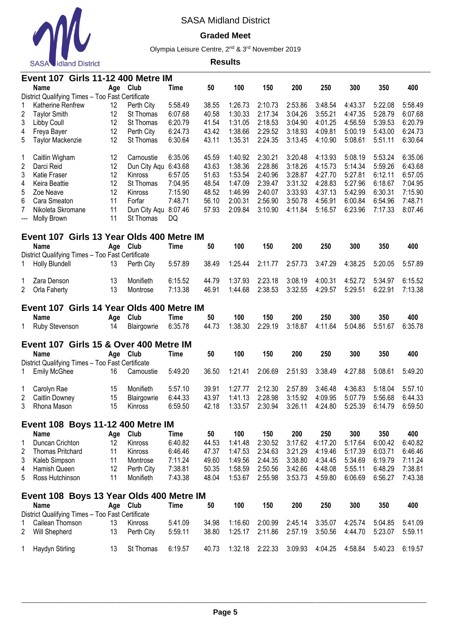

### **Graded Meet**

Olympia Leisure Centre, 2nd & 3rd November 2019

|                         | Event 107                                        |          | <b>Girls 11-12 400 Metre IM</b> |                    |                |                    |                    |         |                    |         |                    |                    |
|-------------------------|--------------------------------------------------|----------|---------------------------------|--------------------|----------------|--------------------|--------------------|---------|--------------------|---------|--------------------|--------------------|
|                         | <b>Name</b>                                      | Age      | <b>Club</b>                     | <b>Time</b>        | 50             | 100                | 150                | 200     | 250                | 300     | 350                | 400                |
|                         | District Qualifying Times - Too Fast Certificate |          |                                 |                    |                |                    |                    |         |                    |         |                    |                    |
| 1                       | Katherine Renfrew                                | 12       | Perth City                      | 5:58.49            | 38.55          | 1:26.73            | 2:10.73            | 2:53.86 | 3:48.54            | 4:43.37 | 5:22.08            | 5:58.49            |
| $\overline{\mathbf{c}}$ | <b>Taylor Smith</b>                              | 12       | St Thomas                       | 6:07.68            | 40.58          | 1:30.33            | 2:17.34            | 3:04.26 | 3:55.21            | 4:47.35 | 5:28.79            | 6:07.68            |
| 3                       | Libby Coull                                      | 12       | St Thomas                       | 6:20.79            | 41.54          | 1:31.05            | 2:18.53            | 3:04.90 | 4:01.25            | 4:56.59 | 5:39.53            | 6:20.79            |
| 4                       | Freya Bayer                                      | 12       | Perth City                      | 6:24.73            | 43.42          | 1:38.66            | 2:29.52            | 3:18.93 | 4:09.81            | 5:00.19 | 5:43.00            | 6:24.73            |
| 5                       | Taylor Mackenzie                                 | 12       | St Thomas                       | 6:30.64            | 43.11          | 1:35.31            | 2:24.35            | 3:13.45 | 4:10.90            | 5:08.61 | 5:51.11            | 6:30.64            |
| 1                       | Caitlin Wigham                                   | 12       | Carnoustie                      | 6:35.06            | 45.59          | 1:40.92            | 2:30.21            | 3:20.48 | 4:13.93            | 5:08.19 | 5:53.24            | 6:35.06            |
| $\sqrt{2}$              | Darci Reid                                       | 12       | Dun City Aqu 6:43.68            |                    | 43.63          | 1:38.36            | 2:28.86            | 3:18.26 | 4:15.73            | 5:14.34 | 5:59.26            | 6:43.68            |
| 3                       | Katie Fraser                                     | 12       | Kinross                         | 6:57.05            | 51.63          | 1:53.54            | 2:40.96            | 3:28.87 | 4:27.70            | 5:27.81 | 6:12.11            | 6:57.05            |
| 4                       | Keira Beattie                                    | 12       | St Thomas                       | 7:04.95            | 48.54          | 1:47.09            | 2:39.47            | 3:31.32 | 4:28.83            | 5:27.96 | 6:18.67            | 7:04.95            |
| 5                       | Zoe Neave                                        | 12       | Kinross                         | 7:15.90            | 48.52          | 1:46.99            | 2:40.07            | 3:33.93 | 4:37.13            | 5:42.99 | 6:30.31            | 7:15.90            |
| $6\phantom{1}6$         | Cara Smeaton                                     | 11       | Forfar                          | 7:48.71            | 56.10          | 2:00.31            | 2:56.90            | 3:50.78 | 4:56.91            | 6:00.84 | 6:54.96            | 7:48.71            |
| 7                       | Nikoleta Skromane                                | 11       | Dun City Aqu                    | 8:07.46            | 57.93          | 2:09.84            | 3:10.90            | 4:11.84 | 5:16.57            | 6:23.96 | 7:17.33            | 8:07.46            |
| ---                     | Molly Brown                                      | 11       | St Thomas                       | DQ                 |                |                    |                    |         |                    |         |                    |                    |
|                         | Event 107 Girls 13 Year Olds 400 Metre IM        |          |                                 |                    |                |                    |                    |         |                    |         |                    |                    |
|                         | Name                                             | Age      | <b>Club</b>                     | <b>Time</b>        | 50             | 100                | 150                | 200     | 250                | 300     | 350                | 400                |
|                         | District Qualifying Times - Too Fast Certificate |          |                                 |                    |                |                    |                    |         |                    |         |                    |                    |
| 1                       | Holly Blundell                                   | 13       | Perth City                      | 5:57.89            | 38.49          | 1:25.44            | 2:11.77            | 2:57.73 | 3:47.29            | 4:38.25 | 5:20.05            | 5:57.89            |
|                         |                                                  |          |                                 |                    |                |                    |                    | 3:08.19 |                    | 4:52.72 |                    |                    |
| 1                       | Zara Denson<br>Orla Faherty                      | 13<br>13 | Monifieth<br>Montrose           | 6:15.52<br>7:13.38 | 44.79<br>46.91 | 1:37.93<br>1:44.68 | 2:23.18<br>2:38.53 | 3:32.55 | 4:00.31<br>4:29.57 | 5:29.51 | 5:34.97<br>6:22.91 | 6:15.52<br>7:13.38 |
|                         |                                                  |          |                                 |                    |                |                    |                    |         |                    |         |                    |                    |
|                         | Event 107 Girls 14 Year Olds 400 Metre IM        |          |                                 |                    |                |                    |                    |         |                    |         |                    |                    |
|                         | <b>Name</b>                                      | Age      | Club                            | Time               | 50             | 100                | 150                | 200     | 250                | 300     | 350                | 400                |
| 1                       | Ruby Stevenson                                   | 14       | Blairgowrie                     | 6:35.78            | 44.73          | 1:38.30            | 2:29.19            | 3:18.87 | 4:11.64            | 5:04.86 | 5:51.67            | 6:35.78            |
|                         | Event 107 Girls 15 & Over 400 Metre IM           |          |                                 |                    |                |                    |                    |         |                    |         |                    |                    |
|                         | Name                                             | Age      | Club                            | <b>Time</b>        | 50             | 100                | 150                | 200     | 250                | 300     | 350                | 400                |
|                         | District Qualifying Times - Too Fast Certificate |          |                                 |                    |                |                    |                    |         |                    |         |                    |                    |
| 1                       | <b>Emily McGhee</b>                              | 16       | Carnoustie                      | 5:49.20            | 36.50          | 1:21.41            | 2:06.69            | 2:51.93 | 3:38.49            | 4:27.88 | 5:08.61            | 5:49.20            |
|                         |                                                  |          |                                 |                    |                |                    |                    |         |                    |         |                    |                    |
| 1                       | Carolyn Rae                                      | 15       | Monifieth                       | 5:57.10            | 39.91          | 1:27.77            | 2:12.30            | 2:57.89 | 3:46.48            | 4:36.83 | 5:18.04            | 5:57.10            |
| $\overline{\mathbf{c}}$ | Caitlin Downey                                   | 15       | Blairgowrie                     | 6:44.33            | 43.97          | 1:41.13            | 2:28.98            | 3:15.92 | 4:09.95            | 5:07.79 | 5:56.68            | 6:44.33            |
| 3                       | Rhona Mason                                      | 15       | Kinross                         | 6:59.50            | 42.18          | 1:33.57            | 2:30.94            | 3:26.11 | 4:24.80            | 5:25.39 | 6:14.79            | 6:59.50            |
|                         | Event 108 Boys 11-12 400 Metre IM                |          |                                 |                    |                |                    |                    |         |                    |         |                    |                    |
|                         | <b>Name</b>                                      |          | Age Club                        | <b>Time</b>        | 50             | 100                | 150                | 200     | 250                | 300     | 350                | 400                |
| 1                       | Duncan Crichton                                  | 12       | Kinross                         | 6:40.82            | 44.53          | 1:41.48            | 2:30.52            | 3:17.62 | 4:17.20            | 5:17.64 | 6:00.42            | 6:40.82            |
| 2                       | Thomas Pritchard                                 | 11       | Kinross                         | 6:46.46            | 47.37          | 1:47.53            | 2:34.63            | 3:21.29 | 4:19.46            | 5:17.39 | 6:03.71            | 6:46.46            |
| 3                       | Kaleb Simpson                                    | 11       | Montrose                        | 7:11.24            | 49.60          | 1:49.56            | 2:44.35            | 3:38.80 | 4:34.45            | 5:34.69 | 6:19.79            | 7:11.24            |
| 4                       | Hamish Queen                                     | 12       | Perth City                      | 7:38.81            | 50.35          | 1:58.59            | 2:50.56            | 3:42.66 | 4:48.08            | 5:55.11 | 6:48.29            | 7:38.81            |
| 5                       | Ross Hutchinson                                  | 11       | Monifieth                       | 7:43.38            | 48.04          | 1:53.67            | 2:55.98            | 3:53.73 | 4:59.80            | 6:06.69 | 6:56.27            | 7:43.38            |
|                         |                                                  |          |                                 |                    |                |                    |                    |         |                    |         |                    |                    |
|                         | Event 108 Boys 13 Year Olds 400 Metre IM         |          |                                 |                    |                |                    |                    |         |                    |         |                    |                    |
|                         | Name                                             |          | Age Club                        | <b>Time</b>        | 50             | 100                | 150                | 200     | 250                | 300     | 350                | 400                |
|                         | District Qualifying Times - Too Fast Certificate |          |                                 |                    |                |                    |                    |         |                    |         |                    |                    |
| 1                       | Cailean Thomson                                  | 13       | Kinross                         | 5:41.09            | 34.98          | 1:16.60            | 2:00.99            | 2:45.14 | 3:35.07            | 4:25.74 | 5:04.85            | 5:41.09            |
| $\overline{2}$          | Will Shepherd                                    | 13       | Perth City                      | 5:59.11            | 38.80          | 1:25.17            | 2:11.86            | 2:57.19 | 3:50.56            | 4:44.70 | 5:23.07            | 5:59.11            |
| 1                       | Haydyn Stirling                                  | 13       | St Thomas                       | 6:19.57            | 40.73          | 1:32.18            | 2:22.33            | 3:09.93 | 4:04.25            | 4:58.84 | 5:40.23            | 6:19.57            |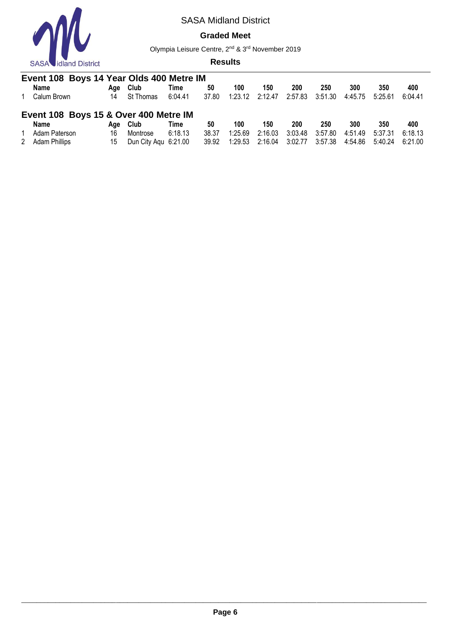

### **Graded Meet**

Olympia Leisure Centre, 2nd & 3rd November 2019

| Event 108 Boys 14 Year Olds 400 Metre IM |     |                      |         |       |         |         |         |         |         |         |         |
|------------------------------------------|-----|----------------------|---------|-------|---------|---------|---------|---------|---------|---------|---------|
| Name                                     | Aae | Club                 | Time    | 50    | 100     | 150     | 200     | 250     | 300     | 350     | 400     |
| Calum Brown                              | 14  | St Thomas            | 6:04.41 | 37.80 | 1:23.12 | 2:12.47 | 2:57.83 | 3:51.30 | 4:45.75 | 5:25.61 | 6:04.41 |
| Event 108 Boys 15 & Over 400 Metre IM    |     |                      |         |       |         |         |         |         |         |         |         |
| Name                                     | Aae | <b>Club</b>          | Time    | 50    | 100     | 150     | 200     | 250     | 300     | 350     | 400     |
| Adam Paterson                            | 16  | Montrose             | 6:18.13 | 38.37 | 1:25.69 | 2:16.03 | 3:03.48 | 3:57.80 | 4:51.49 | 5:37.31 | 6:18.13 |
| 2 Adam Phillips                          | 15  | Dun City Agu 6:21.00 |         | 39.92 | 1:29.53 | 2:16.04 | 3:02.77 | 3:57.38 | 4:54.86 | 5:40.24 | 6:21.00 |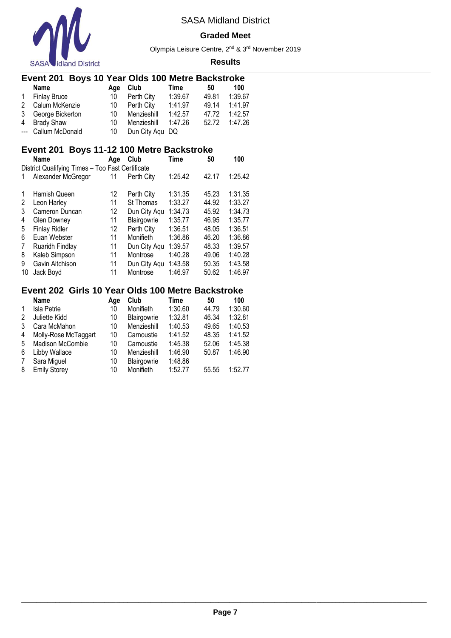

#### **Graded Meet**

Olympia Leisure Centre, 2nd & 3rd November 2019

#### **Results**

| Event 201 Boys 10 Year Olds 100 Metre Backstroke |              |  |             |      |
|--------------------------------------------------|--------------|--|-------------|------|
| <b>Nama</b>                                      | $\mathbf{A}$ |  | <b>Time</b> | 40 A |

|   | <b>Name</b>         | Aae | Club            | Time    | 50    | 100     |
|---|---------------------|-----|-----------------|---------|-------|---------|
| 1 | <b>Finlay Bruce</b> | 10  | Perth City      | 1:39.67 | 49.81 | 1:39.67 |
|   | 2 Calum McKenzie    | 10  | Perth Citv      | 1:41.97 | 49.14 | 1:41.97 |
|   | 3 George Bickerton  | 10  | Menzieshill     | 1:42.57 | 47.72 | 1:42.57 |
|   | 4 Brady Shaw        | 10. | Menzieshill     | 1:47.26 | 52.72 | 1:47.26 |
|   | --- Callum McDonald | 10. | Dun City Aqu DQ |         |       |         |

# **Event 201 Boys 11-12 100 Metre Backstroke**

|    | Name                                             | Age               | Club         | <b>Time</b> | 50    | 100     |
|----|--------------------------------------------------|-------------------|--------------|-------------|-------|---------|
|    | District Qualifying Times - Too Fast Certificate |                   |              |             |       |         |
| 1  | Alexander McGregor                               | 11                | Perth City   | 1:25.42     | 42.17 | 1:25.42 |
| 1  | Hamish Queen                                     | 12                | Perth City   | 1:31.35     | 45.23 | 1:31.35 |
| 2  | Leon Harley                                      | 11                | St Thomas    | 1:33.27     | 44.92 | 1:33.27 |
| 3  | Cameron Duncan                                   | $12 \overline{ }$ | Dun City Aqu | 1:34.73     | 45.92 | 1:34.73 |
| 4  | <b>Glen Downey</b>                               | 11                | Blairgowrie  | 1:35.77     | 46.95 | 1:35.77 |
| 5  | <b>Finlay Ridler</b>                             | 12                | Perth City   | 1:36.51     | 48.05 | 1:36.51 |
| 6  | Euan Webster                                     | 11                | Monifieth    | 1:36.86     | 46.20 | 1:36.86 |
| 7  | <b>Ruaridh Findlay</b>                           | 11                | Dun City Aqu | 1:39.57     | 48.33 | 1:39.57 |
| 8  | Kaleb Simpson                                    | 11                | Montrose     | 1:40.28     | 49.06 | 1:40.28 |
| 9  | Gavin Aitchison                                  | 11                | Dun City Aqu | 1:43.58     | 50.35 | 1:43.58 |
| 10 | Jack Boyd                                        | 11                | Montrose     | 1:46.97     | 50.62 | 1:46.97 |

### **Event 202 Girls 10 Year Olds 100 Metre Backstroke**

|   | <b>Name</b>          | Age | Club        | Time    | 50    | 100     |
|---|----------------------|-----|-------------|---------|-------|---------|
| 1 | <b>Isla Petrie</b>   | 10  | Monifieth   | 1:30.60 | 44.79 | 1:30.60 |
| 2 | Juliette Kidd        | 10  | Blairgowrie | 1:32.81 | 46.34 | 1:32.81 |
| 3 | Cara McMahon         | 10  | Menzieshill | 1:40.53 | 49.65 | 1:40.53 |
| 4 | Molly-Rose McTaggart | 10  | Carnoustie  | 1:41.52 | 48.35 | 1:41.52 |
| 5 | Madison McCombie     | 10  | Carnoustie  | 1:45.38 | 52.06 | 1:45.38 |
| 6 | Libby Wallace        | 10  | Menzieshill | 1:46.90 | 50.87 | 1:46.90 |
| 7 | Sara Miguel          | 10  | Blairgowrie | 1:48.86 |       |         |
| 8 | <b>Emily Storey</b>  | 10  | Monifieth   | 1:52.77 | 55.55 | 1:52.77 |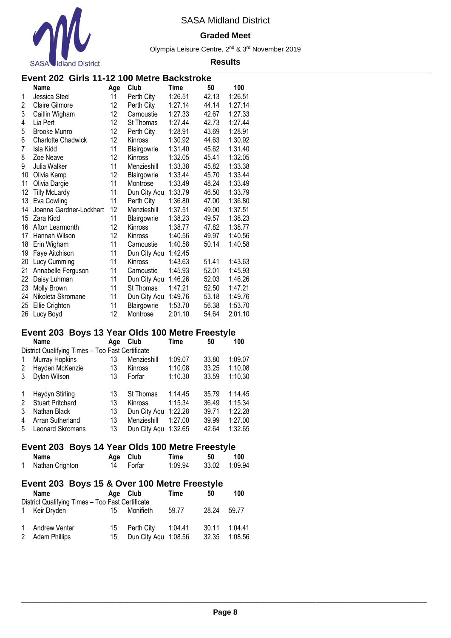

### **Graded Meet**

Olympia Leisure Centre, 2nd & 3rd November 2019

|                         | <b>OAOA WILLIAM DISLIIUL</b>                     |          |                      |             |       |         |  |  |  |  |
|-------------------------|--------------------------------------------------|----------|----------------------|-------------|-------|---------|--|--|--|--|
|                         | Event 202 Girls 11-12 100 Metre Backstroke       |          |                      |             |       |         |  |  |  |  |
|                         | <b>Name</b>                                      | Age      | Club                 | <b>Time</b> | 50    | 100     |  |  |  |  |
| 1                       | Jessica Steel                                    | 11       | Perth City           | 1:26.51     | 42.13 | 1:26.51 |  |  |  |  |
| 2                       | <b>Claire Gilmore</b>                            | 12       | Perth City           | 1:27.14     | 44.14 | 1:27.14 |  |  |  |  |
| 3                       | Caitlin Wigham                                   | 12       | Carnoustie           | 1:27.33     | 42.67 | 1:27.33 |  |  |  |  |
| 4                       | Lia Pert                                         | 12       | St Thomas            | 1:27.44     | 42.73 | 1:27.44 |  |  |  |  |
| 5                       | <b>Brooke Munro</b>                              | 12       | Perth City           | 1:28.91     | 43.69 | 1:28.91 |  |  |  |  |
| 6                       | <b>Charlotte Chadwick</b>                        | 12       | Kinross              | 1:30.92     | 44.63 | 1:30.92 |  |  |  |  |
| 7                       | Isla Kidd                                        | 11       | Blairgowrie          | 1:31.40     | 45.62 | 1:31.40 |  |  |  |  |
| 8                       | Zoe Neave                                        | 12       | Kinross              | 1:32.05     | 45.41 | 1:32.05 |  |  |  |  |
| 9                       | Julia Walker                                     | 11       | Menzieshill          | 1:33.38     | 45.82 | 1:33.38 |  |  |  |  |
| 10                      | Olivia Kemp                                      | 12       | Blairgowrie          | 1:33.44     | 45.70 | 1:33.44 |  |  |  |  |
| 11                      | Olivia Dargie                                    | 11       | Montrose             | 1:33.49     | 48.24 | 1:33.49 |  |  |  |  |
| 12                      | <b>Tilly McLardy</b>                             | 11       | Dun City Aqu         | 1:33.79     | 46.50 | 1:33.79 |  |  |  |  |
| 13                      | Eva Cowling                                      | 11       | Perth City           | 1:36.80     | 47.00 | 1:36.80 |  |  |  |  |
| 14                      | Joanna Gardner-Lockhart                          | 12       | Menzieshill          | 1:37.51     | 49.00 | 1:37.51 |  |  |  |  |
| 15                      | Zara Kidd                                        | 11       | Blairgowrie          | 1:38.23     | 49.57 | 1:38.23 |  |  |  |  |
| 16                      | Afton Learmonth                                  | 12       | Kinross              | 1:38.77     | 47.82 | 1:38.77 |  |  |  |  |
| 17                      | Hannah Wilson                                    | 12       | Kinross              | 1:40.56     | 49.97 | 1:40.56 |  |  |  |  |
| 18                      | Erin Wigham                                      | 11       | Carnoustie           | 1:40.58     | 50.14 | 1:40.58 |  |  |  |  |
| 19                      | Faye Aitchison                                   | 11       | Dun City Aqu         | 1:42.45     |       |         |  |  |  |  |
| 20                      | Lucy Cumming                                     | 11       | Kinross              | 1:43.63     | 51.41 | 1:43.63 |  |  |  |  |
| 21                      | Annabelle Ferguson                               | 11       | Carnoustie           | 1:45.93     | 52.01 | 1:45.93 |  |  |  |  |
| 22                      | Daisy Luhman                                     | 11       | Dun City Aqu         | 1:46.26     | 52.03 | 1:46.26 |  |  |  |  |
| 23                      | Molly Brown                                      | 11       | St Thomas            | 1:47.21     | 52.50 | 1:47.21 |  |  |  |  |
| 24                      | Nikoleta Skromane                                | 11       | Dun City Aqu         | 1:49.76     | 53.18 | 1:49.76 |  |  |  |  |
| 25                      | Ellie Crighton                                   | 11       | Blairgowrie          | 1:53.70     | 56.38 | 1:53.70 |  |  |  |  |
| 26                      | Lucy Boyd                                        | 12       | Montrose             | 2:01.10     | 54.64 | 2:01.10 |  |  |  |  |
|                         |                                                  |          |                      |             |       |         |  |  |  |  |
|                         | Event 203 Boys 13 Year Olds 100 Metre Freestyle  |          |                      |             |       |         |  |  |  |  |
|                         | <b>Name</b>                                      | Age      | Club                 | Time        | 50    | 100     |  |  |  |  |
|                         | District Qualifying Times - Too Fast Certificate |          |                      |             |       |         |  |  |  |  |
| 1                       | <b>Murray Hopkins</b>                            | 13       | Menzieshill          | 1:09.07     | 33.80 | 1:09.07 |  |  |  |  |
| 2                       | Hayden McKenzie                                  | 13       | Kinross              | 1:10.08     | 33.25 | 1:10.08 |  |  |  |  |
| 3                       | Dylan Wilson                                     | 13       | Forfar               | 1:10.30     | 33.59 | 1:10.30 |  |  |  |  |
|                         |                                                  |          |                      |             |       |         |  |  |  |  |
| 1                       | Haydyn Stirling                                  | 13       | St Thomas            | 1:14.45     | 35.79 | 1:14.45 |  |  |  |  |
| $\overline{\mathbf{c}}$ | <b>Stuart Pritchard</b>                          | 13       | Kinross              | 1:15.34     | 36.49 | 1:15.34 |  |  |  |  |
| 3                       | Nathan Black                                     | 13       | Dun City Aqu 1:22.28 |             | 39.71 | 1:22.28 |  |  |  |  |
| 4                       | Arran Sutherland                                 | 13       | Menzieshill          | 1:27.00     | 39.99 | 1:27.00 |  |  |  |  |
| 5                       | Leonard Skromans                                 | 13       | Dun City Aqu 1:32.65 |             | 42.64 | 1:32.65 |  |  |  |  |
|                         |                                                  |          |                      |             |       |         |  |  |  |  |
|                         | Event 203 Boys 14 Year Olds 100 Metre Freestyle  |          |                      |             |       |         |  |  |  |  |
|                         | <b>Name</b>                                      | Age      | Club                 | Time        | 50    | 100     |  |  |  |  |
| 1                       | Nathan Crighton                                  | 14       | Forfar               | 1:09.94     | 33.02 | 1:09.94 |  |  |  |  |
|                         |                                                  |          |                      |             |       |         |  |  |  |  |
|                         | Event 203 Boys 15 & Over 100 Metre Freestyle     |          |                      |             |       |         |  |  |  |  |
|                         | Name                                             | Age Club |                      | Time        | 50    | 100     |  |  |  |  |
|                         | District Qualifying Times - Too Fast Certificate |          |                      |             |       |         |  |  |  |  |
| 1                       | Keir Dryden                                      | 15       | Monifieth            | 59.77       | 28.24 | 59.77   |  |  |  |  |
|                         |                                                  |          |                      |             |       |         |  |  |  |  |
| 1                       | Andrew Venter                                    | 15       | Perth City           | 1:04.41     | 30.11 | 1:04.41 |  |  |  |  |
| 2                       | <b>Adam Phillips</b>                             | 15       | Dun City Aqu 1:08.56 |             | 32.35 | 1:08.56 |  |  |  |  |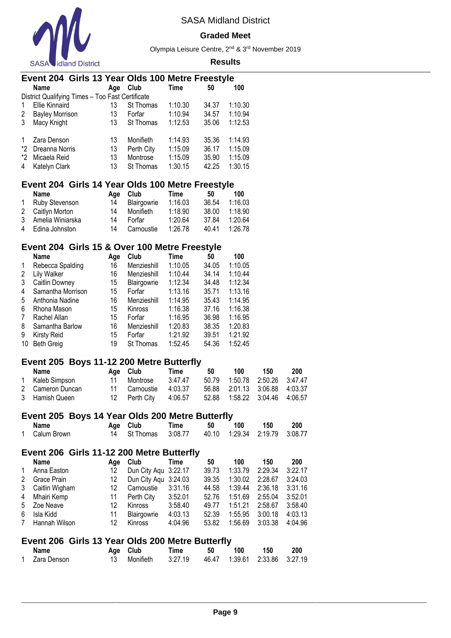

#### **Graded Meet**

Olympia Leisure Centre, 2nd & 3rd November 2019

#### **Results**

|    | Event 204 Girls 13 Year Olds 100 Metre Freestyle |     |            |         |       |         |  |  |  |
|----|--------------------------------------------------|-----|------------|---------|-------|---------|--|--|--|
|    | <b>Name</b>                                      | Age | Club       | Time    | 50    | 100     |  |  |  |
|    | District Qualifying Times - Too Fast Certificate |     |            |         |       |         |  |  |  |
| 1  | Ellie Kinnaird                                   | 13  | St Thomas  | 1:10.30 | 34.37 | 1:10.30 |  |  |  |
| 2  | <b>Bayley Morrison</b>                           | 13  | Forfar     | 1:10.94 | 34.57 | 1:10.94 |  |  |  |
| 3  | Macy Knight                                      | 13  | St Thomas  | 1:12.53 | 35.06 | 1:12.53 |  |  |  |
| 1  | Zara Denson                                      | 13  | Monifieth  | 1:14.93 | 35.36 | 1:14.93 |  |  |  |
| *2 | Dreanna Norris                                   | 13  | Perth City | 1:15.09 | 36.17 | 1:15.09 |  |  |  |
| *2 | Micaela Reid                                     | 13  | Montrose   | 1:15.09 | 35.90 | 1:15.09 |  |  |  |
| 4  | Katelyn Clark                                    | 13  | St Thomas  | 1:30.15 | 42.25 | 1:30.15 |  |  |  |

### **Event 204 Girls 14 Year Olds 100 Metre Freestyle**

| Name               | Aae | Club        | Time    | 50    | 100     |
|--------------------|-----|-------------|---------|-------|---------|
| 1 Ruby Stevenson   | 14  | Blairgowrie | 1:16.03 | 36.54 | 1:16.03 |
| 2 Caitlyn Morton   | 14  | Monifieth   | 1:18.90 | 38.00 | 1:18.90 |
| 3 Amelia Winiarska | 14  | Forfar      | 1:20.64 | 37.84 | 1:20.64 |
| 4 Edina Johnston   | 14  | Carnoustie  | 1:26.78 | 40.41 | 1:26.78 |

# **Event 204 Girls 15 & Over 100 Metre Freestyle**

|    | <b>Name</b>       | Age | Club             | Time    | 50    | 100     |
|----|-------------------|-----|------------------|---------|-------|---------|
| 1  | Rebecca Spalding  | 16  | Menzieshill      | 1:10.05 | 34.05 | 1:10.05 |
| 2  | Lily Walker       | 16  | Menzieshill      | 1:10.44 | 34.14 | 1:10.44 |
| 3  | Caitlin Downey    | 15  | Blairgowrie      | 1:12.34 | 34.48 | 1:12.34 |
| 4  | Samantha Morrison | 15  | Forfar           | 1:13.16 | 35.71 | 1:13.16 |
| 5  | Anthonia Nadine   | 16  | Menzieshill      | 1:14.95 | 35.43 | 1:14.95 |
| 6  | Rhona Mason       | 15  | <b>Kinross</b>   | 1:16.38 | 37.16 | 1:16.38 |
| 7  | Rachel Allan      | 15  | Forfar           | 1:16.95 | 36.98 | 1:16.95 |
| 8  | Samantha Barlow   | 16  | Menzieshill      | 1:20.83 | 38.35 | 1:20.83 |
| 9  | Kirsty Reid       | 15  | Forfar           | 1:21.92 | 39.51 | 1:21.92 |
| 10 | <b>Beth Greig</b> | 19  | <b>St Thomas</b> | 1:52.45 | 54.36 | 1:52.45 |
|    |                   |     |                  |         |       |         |

### **Event 205 Boys 11-12 200 Metre Butterfly**

| Name             | Age Club              | Time    | 50 | 100                           | 150 | 200 |
|------------------|-----------------------|---------|----|-------------------------------|-----|-----|
| 1 Kaleb Simpson  | Montrose              | 3:47.47 |    |                               |     |     |
| 2 Cameron Duncan | 11 Carnoustie         | 4:03.37 |    | 56.88 2:01.13 3:06.88 4:03.37 |     |     |
| 3 Hamish Queen   | 12 Perth City 4:06.57 |         |    |                               |     |     |

### **Event 205 Boys 14 Year Olds 200 Metre Butterfly**

| Name          | Age Club                                                | Time | 50 | 100 | 150 | 200 |
|---------------|---------------------------------------------------------|------|----|-----|-----|-----|
| 1 Calum Brown | 14 St Thomas  3:08.77  40.10  1:29.34  2:19.79  3:08.77 |      |    |     |     |     |

# **Event 206 Girls 11-12 200 Metre Butterfly**

|   | Name             | Aae | Club                 | Time    | 50    | 100     | 150     | 200     |
|---|------------------|-----|----------------------|---------|-------|---------|---------|---------|
| 1 | Anna Easton      | 12  | Dun City Aqu 3:22.17 |         | 39.73 | 1:33.79 | 2:29.34 | 3:22.17 |
| 2 | Grace Prain      | 12. | Dun City Agu 3:24.03 |         | 39.35 | 1:30.02 | 2:28.67 | 3:24.03 |
|   | 3 Caitlin Wigham | 12  | Carnoustie           | 3:31.16 | 44.58 | 1:39.44 | 2:36.18 | 3:31.16 |
|   | 4 Mhairi Kemp    | 11  | Perth City           | 3:52.01 | 52.76 | 1:51.69 | 2:55.04 | 3:52.01 |
|   | 5 Zoe Neave      | 12  | <b>Kinross</b>       | 3:58.40 | 49.77 | 1:51.21 | 2:58.67 | 3:58.40 |
| 6 | Isla Kidd        | 11  | Blairgowrie          | 4:03.13 | 52.39 | 1:55.95 | 3:00.18 | 4:03.13 |
| 7 | Hannah Wilson    | 12  | Kinross              | 4:04.96 | 53.82 | 1:56.69 | 3:03.38 | 4:04.96 |

### **Event 206 Girls 13 Year Olds 200 Metre Butterfly**

| Name          | Age Club | Time                                               | 50 | 100 | - 150 | 200 |
|---------------|----------|----------------------------------------------------|----|-----|-------|-----|
| 1 Zara Denson |          | 13 Monifieth 3:27.19 46.47 1:39.61 2:33.86 3:27.19 |    |     |       |     |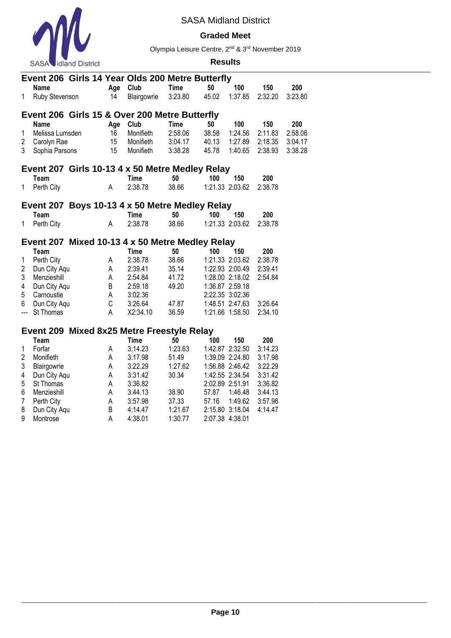

#### **Graded Meet**

Olympia Leisure Centre, 2nd & 3rd November 2019

#### **Results**

|                | Event 206 Girls 14 Year Olds 200 Metre Butterfly |             |             |             |       |                 |         |         |
|----------------|--------------------------------------------------|-------------|-------------|-------------|-------|-----------------|---------|---------|
|                | <b>Name</b>                                      | Age         | Club        | <b>Time</b> | 50    | 100             | 150     | 200     |
| 1              | Ruby Stevenson                                   | 14          | Blairgowrie | 3:23.80     | 45.02 | 1:37.85         | 2:32.20 | 3:23.80 |
|                | Event 206 Girls 15 & Over 200 Metre Butterfly    |             |             |             |       |                 |         |         |
|                | <b>Name</b>                                      | Age         | Club        | <b>Time</b> | 50    | 100             | 150     | 200     |
| 1              | Melissa Lumsden                                  | 16          | Monifieth   | 2:58.06     | 38.58 | 1:24.56         | 2:11.83 | 2:58.06 |
| 2              | Carolyn Rae                                      | 15          | Monifieth   | 3:04.17     | 40.13 | 1:27.89         | 2:18.35 | 3:04.17 |
| 3              | Sophia Parsons                                   | 15          | Monifieth   | 3:38.28     | 45.78 | 1:40.65         | 2:38.93 | 3:38.28 |
|                | Event 207 Girls 10-13 4 x 50 Metre Medley Relay  |             |             |             |       |                 |         |         |
|                | Team                                             |             | <b>Time</b> | 50          | 100   | 150             | 200     |         |
| 1              | Perth City                                       | Α           | 2:38.78     | 38.66       |       | 1:21.33 2:03.62 | 2:38.78 |         |
|                | Event 207 Boys 10-13 4 x 50 Metre Medley Relay   |             |             |             |       |                 |         |         |
|                | Team                                             |             | <b>Time</b> | 50          | 100   | 150             | 200     |         |
| 1              | Perth City                                       | A           | 2:38.78     | 38.66       |       | 1:21.33 2:03.62 | 2:38.78 |         |
|                |                                                  |             |             |             |       |                 |         |         |
|                | Event 207 Mixed 10-13 4 x 50 Metre Medley Relay  |             |             |             |       |                 |         |         |
|                | Team                                             |             | <b>Time</b> | 50          | 100   | 150             | 200     |         |
| 1              | Perth City                                       | A           | 2:38.78     | 38.66       |       | 1:21.33 2:03.62 | 2:38.78 |         |
| $\overline{2}$ | Dun City Aqu                                     | Α           | 2:39.41     | 35.14       |       | 1:22.93 2:00.49 | 2:39.41 |         |
| 3              | Menzieshill                                      | Α           | 2:54.84     | 41.72       |       | 1:28.00 2:18.02 | 2:54.84 |         |
| 4              | Dun City Aqu                                     | B           | 2:59.18     | 49.20       |       | 1:36.87 2:59.18 |         |         |
| 5              | Carnoustie                                       | A           | 3:02.36     |             |       | 2:22.35 3:02.36 |         |         |
| 6              | Dun City Aqu                                     | $\mathsf C$ | 3:26.64     | 47.87       |       | 1:48.51 2:47.63 | 3:26.64 |         |
| ---            | St Thomas                                        | Α           | X2:34.10    | 36.59       |       | 1:21.66 1:58.50 | 2:34.10 |         |
|                | Event 209 Mixed 8x25 Metre Freestyle Relay       |             |             |             |       |                 |         |         |
|                | Team                                             |             | <b>Time</b> | 50          | 100   | 150             | 200     |         |
| 1              | Forfar                                           | Α           | 3:14.23     | 1:23.63     |       | 1:42.87 2:32.50 | 3:14.23 |         |
| $\overline{c}$ | Monifieth                                        | Α           | 3:17.98     | 51.49       |       | 1:39.09 2:24.80 | 3:17.98 |         |
| 3              | Blairgowrie                                      | A           | 3:22.29     | 1:27.62     |       | 1:56.88 2:46.42 | 3:22.29 |         |
| 4              | Dun City Aqu                                     | А           | 3:31.42     | 30.34       |       | 1:42.55 2:34.54 | 3:31.42 |         |
| 5              | St Thomas                                        | A           | 3:36.82     |             |       | 2:02.89 2:51.91 | 3:36.82 |         |
| 6              | Menzieshill                                      | A           | 3:44.13     | 38.90       | 57.87 | 1:46.48         | 3:44.13 |         |

7 Perth City A 3:57.98 37.33 57.16 1:49.62 3:57.98 8 Dun City Aqu B 4:14.47 1:21.67 2:15.80 3:18.04 4:14.47

9 Montrose A 4:38.01 1:30.77 2:07.38 4:38.01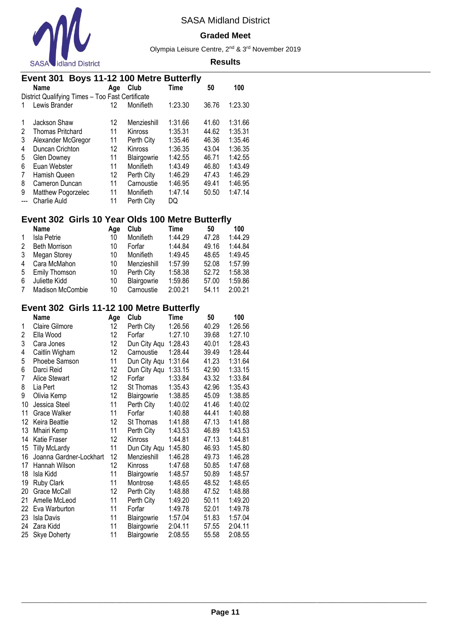

#### **Graded Meet**

Olympia Leisure Centre, 2nd & 3rd November 2019

#### **Results**

|   | Event 301 Boys 11-12 100 Metre Butterfly         |     |                |         |       |         |  |  |  |  |  |  |
|---|--------------------------------------------------|-----|----------------|---------|-------|---------|--|--|--|--|--|--|
|   | Name                                             | Age | Club           | Time    | 50    | 100     |  |  |  |  |  |  |
|   | District Qualifying Times - Too Fast Certificate |     |                |         |       |         |  |  |  |  |  |  |
|   | Lewis Brander                                    | 12  | Monifieth      | 1:23.30 | 36.76 | 1:23.30 |  |  |  |  |  |  |
|   |                                                  |     |                |         |       |         |  |  |  |  |  |  |
| 1 | Jackson Shaw                                     | 12  | Menzieshill    | 1:31.66 | 41.60 | 1:31.66 |  |  |  |  |  |  |
| 2 | <b>Thomas Pritchard</b>                          | 11  | Kinross        | 1:35.31 | 44.62 | 1:35.31 |  |  |  |  |  |  |
| 3 | Alexander McGregor                               | 11  | Perth City     | 1:35.46 | 46.36 | 1:35.46 |  |  |  |  |  |  |
| 4 | Duncan Crichton                                  | 12  | <b>Kinross</b> | 1:36.35 | 43.04 | 1:36.35 |  |  |  |  |  |  |
| 5 | <b>Glen Downey</b>                               | 11  | Blairgowrie    | 1:42.55 | 46.71 | 1:42.55 |  |  |  |  |  |  |
| 6 | Euan Webster                                     | 11  | Monifieth      | 1:43.49 | 46.80 | 1:43.49 |  |  |  |  |  |  |
| 7 | Hamish Queen                                     | 12  | Perth City     | 1:46.29 | 47.43 | 1:46.29 |  |  |  |  |  |  |
| 8 | Cameron Duncan                                   | 11  | Carnoustie     | 1:46.95 | 49.41 | 1:46.95 |  |  |  |  |  |  |
| 9 | Matthew Pogorzelec                               | 11  | Monifieth      | 1:47.14 | 50.50 | 1:47.14 |  |  |  |  |  |  |
|   | Charlie Auld                                     | 11  | Perth City     | DQ      |       |         |  |  |  |  |  |  |
|   |                                                  |     |                |         |       |         |  |  |  |  |  |  |

### **Event 302 Girls 10 Year Olds 100 Metre Butterfly**

|             | <b>Name</b>             | Age | Club        | Time    | 50    | 100     |
|-------------|-------------------------|-----|-------------|---------|-------|---------|
| $\mathbf 1$ | Isla Petrie             | 10  | Monifieth   | 1:44.29 | 47.28 | 1:44.29 |
| 2           | <b>Beth Morrison</b>    | 10  | Forfar      | 1:44.84 | 49.16 | 1:44.84 |
| 3           | Megan Storey            | 10  | Monifieth   | 1:49.45 | 48.65 | 1:49.45 |
| 4           | Cara McMahon            | 10  | Menzieshill | 1:57.99 | 52.08 | 1:57.99 |
| 5           | Emily Thomson           | 10  | Perth City  | 1:58.38 | 52.72 | 1:58.38 |
| 6           | Juliette Kidd           | 10  | Blairgowrie | 1:59.86 | 57.00 | 1:59.86 |
| 7           | <b>Madison McCombie</b> | 10  | Carnoustie  | 2:00.21 | 54.11 | 2:00.21 |

# **Event 302 Girls 11-12 100 Metre Butterfly**

|    | Name                    | Age | Club         | Time    | 50    | 100     |
|----|-------------------------|-----|--------------|---------|-------|---------|
| 1  | Claire Gilmore          | 12  | Perth City   | 1:26.56 | 40.29 | 1:26.56 |
| 2  | Ella Wood               | 12  | Forfar       | 1:27.10 | 39.68 | 1:27.10 |
| 3  | Cara Jones              | 12  | Dun City Aqu | 1:28.43 | 40.01 | 1:28.43 |
| 4  | Caitlin Wigham          | 12  | Carnoustie   | 1:28.44 | 39.49 | 1:28.44 |
| 5  | Phoebe Samson           | 11  | Dun City Aqu | 1:31.64 | 41.23 | 1:31.64 |
| 6  | Darci Reid              | 12  | Dun City Aqu | 1:33.15 | 42.90 | 1:33.15 |
| 7  | Alice Stewart           | 12  | Forfar       | 1:33.84 | 43.32 | 1:33.84 |
| 8  | Lia Pert                | 12  | St Thomas    | 1:35.43 | 42.96 | 1:35.43 |
| 9  | Olivia Kemp             | 12  | Blairgowrie  | 1:38.85 | 45.09 | 1:38.85 |
| 10 | Jessica Steel           | 11  | Perth City   | 1:40.02 | 41.46 | 1:40.02 |
| 11 | Grace Walker            | 11  | Forfar       | 1:40.88 | 44.41 | 1:40.88 |
| 12 | Keira Beattie           | 12  | St Thomas    | 1:41.88 | 47.13 | 1:41.88 |
| 13 | Mhairi Kemp             | 11  | Perth City   | 1:43.53 | 46.89 | 1:43.53 |
| 14 | Katie Fraser            | 12  | Kinross      | 1:44.81 | 47.13 | 1:44.81 |
| 15 | <b>Tilly McLardy</b>    | 11  | Dun City Aqu | 1:45.80 | 46.93 | 1:45.80 |
| 16 | Joanna Gardner-Lockhart | 12  | Menzieshill  | 1:46.28 | 49.73 | 1:46.28 |
| 17 | Hannah Wilson           | 12  | Kinross      | 1:47.68 | 50.85 | 1:47.68 |
| 18 | Isla Kidd               | 11  | Blairgowrie  | 1:48.57 | 50.89 | 1:48.57 |
| 19 | <b>Ruby Clark</b>       | 11  | Montrose     | 1:48.65 | 48.52 | 1:48.65 |
| 20 | Grace McCall            | 12  | Perth City   | 1:48.88 | 47.52 | 1:48.88 |
| 21 | Amelle McLeod           | 11  | Perth City   | 1:49.20 | 50.11 | 1:49.20 |
| 22 | Eva Warburton           | 11  | Forfar       | 1:49.78 | 52.01 | 1:49.78 |
| 23 | Isla Davis              | 11  | Blairgowrie  | 1:57.04 | 51.83 | 1:57.04 |
| 24 | Zara Kidd               | 11  | Blairgowrie  | 2:04.11 | 57.55 | 2:04.11 |
| 25 | <b>Skye Doherty</b>     | 11  | Blairgowrie  | 2:08.55 | 55.58 | 2:08.55 |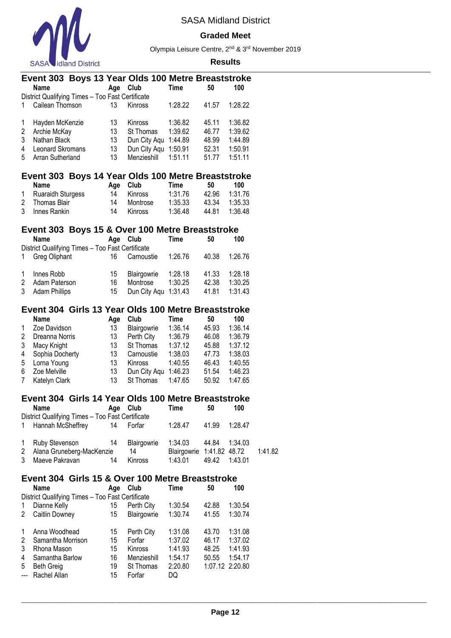

#### **Graded Meet**

Olympia Leisure Centre, 2nd & 3rd November 2019

|                         | Event 303 Boys 13 Year Olds 100 Metre Breaststroke                  |          |                                   |               |                |                    |         |
|-------------------------|---------------------------------------------------------------------|----------|-----------------------------------|---------------|----------------|--------------------|---------|
|                         | <b>Name</b>                                                         | Age      | Club                              | <b>Time</b>   | 50             | 100                |         |
| 1                       | District Qualifying Times - Too Fast Certificate<br>Cailean Thomson | 13       |                                   | 1:28.22       | 41.57          | 1:28.22            |         |
|                         |                                                                     |          | Kinross                           |               |                |                    |         |
| 1                       | Hayden McKenzie                                                     | 13       | Kinross                           | 1:36.82       | 45.11          | 1:36.82            |         |
| $\overline{\mathbf{c}}$ | Archie McKay                                                        | 13       | St Thomas                         | 1:39.62       | 46.77          | 1:39.62            |         |
| 3                       | Nathan Black                                                        | 13       | Dun City Aqu 1:44.89              |               | 48.99          | 1:44.89            |         |
| 4                       | Leonard Skromans                                                    | 13       | Dun City Aqu 1:50.91              |               | 52.31          | 1:50.91            |         |
| 5                       | Arran Sutherland                                                    | 13       | Menzieshill                       | 1:51.11       | 51.77          | 1:51.11            |         |
|                         | Event 303 Boys 14 Year Olds 100 Metre Breaststroke                  |          |                                   |               |                |                    |         |
|                         | <b>Name</b>                                                         | Age      | Club                              | <b>Time</b>   | 50             | 100                |         |
| 1                       | Ruaraidh Sturgess                                                   | 14       | Kinross                           | 1:31.76       | 42.96          | 1:31.76            |         |
| 2                       | Thomas Blair                                                        | 14       | Montrose                          | 1:35.33       | 43.34          | 1:35.33            |         |
| 3                       | Innes Rankin                                                        | 14       | Kinross                           | 1:36.48       | 44.81          | 1:36.48            |         |
|                         | Event 303 Boys 15 & Over 100 Metre Breaststroke                     |          |                                   |               |                |                    |         |
|                         | Name                                                                | Age      | Club                              | Time          | 50             | 100                |         |
|                         | District Qualifying Times - Too Fast Certificate                    |          |                                   |               |                |                    |         |
| 1                       | Greg Oliphant                                                       | 16       | Carnoustie                        | 1:26.76       | 40.38          | 1:26.76            |         |
|                         |                                                                     |          |                                   |               |                |                    |         |
| 1                       | Innes Robb                                                          | 15       | Blairgowrie                       | 1:28.18       | 41.33          | 1:28.18            |         |
| $\overline{2}$<br>3     | Adam Paterson                                                       | 16<br>15 | Montrose<br>Dun City Aqu 1:31.43  | 1:30.25       | 42.38          | 1:30.25<br>1:31.43 |         |
|                         | <b>Adam Phillips</b>                                                |          |                                   |               | 41.81          |                    |         |
|                         | Event 304 Girls 13 Year Olds 100 Metre Breaststroke                 |          |                                   |               |                |                    |         |
|                         | <b>Name</b>                                                         | Age      | Club                              | Time          | 50             | 100                |         |
| 1                       | Zoe Davidson                                                        | 13       | Blairgowrie                       | 1:36.14       | 45.93          | 1:36.14            |         |
| 2                       | Dreanna Norris                                                      | 13       | Perth City                        | 1:36.79       | 46.08          | 1:36.79            |         |
| 3                       | Macy Knight                                                         | 13       | St Thomas                         | 1:37.12       | 45.88          | 1:37.12            |         |
| 4                       | Sophia Docherty                                                     | 13       | Carnoustie                        | 1:38.03       | 47.73          | 1:38.03            |         |
| 5<br>6                  | Lorna Young<br>Zoe Melville                                         | 13<br>13 | Kinross                           | 1:40.55       | 46.43<br>51.54 | 1:40.55<br>1:46.23 |         |
| 7                       | Katelyn Clark                                                       | 13       | Dun City Aqu 1:46.23<br>St Thomas | 1:47.65       | 50.92          | 1:47.65            |         |
|                         |                                                                     |          |                                   |               |                |                    |         |
|                         | Event 304 Girls 14 Year Olds 100 Metre Breaststroke                 |          |                                   |               |                |                    |         |
|                         | <b>Name</b>                                                         | Age      | Club                              | Time          | 50             | 100                |         |
|                         | District Qualifying Times - Too Fast Certificate                    |          |                                   |               |                |                    |         |
| 1                       | Hannah McSheffrey                                                   | 14       | Forfar                            | 1:28.47       | 41.99          | 1:28.47            |         |
| 1                       | Ruby Stevenson                                                      | 14       | Blairgowrie                       | 1:34.03       | 44.84          | 1:34.03            |         |
| 2                       | Alana Gruneberg-MacKenzie                                           |          | 14                                | Blairgowrie   | 1:41.82        | 48.72              | 1:41.82 |
| 3                       | Maeve Pakravan                                                      | 14       | Kinross                           | 1:43.01       | 49.42          | 1:43.01            |         |
|                         |                                                                     |          |                                   |               |                |                    |         |
|                         | Event 304 Girls 15 & Over 100 Metre Breaststroke                    |          |                                   |               |                |                    |         |
|                         | <b>Name</b><br>District Qualifying Times - Too Fast Certificate     | Age      | Club                              | <b>Time</b>   | 50             | 100                |         |
| 1                       | Dianne Kelly                                                        | 15       | Perth City                        | 1:30.54       | 42.88          | 1:30.54            |         |
| 2                       | Caitlin Downey                                                      | 15       | Blairgowrie                       | 1:30.74       | 41.55          | 1:30.74            |         |
|                         |                                                                     |          |                                   |               |                |                    |         |
| 1                       | Anna Woodhead                                                       | 15       | Perth City                        | 1:31.08       | 43.70          | 1:31.08            |         |
| 2                       | Samantha Morrison                                                   | 15       | Forfar                            | 1:37.02       | 46.17          | 1:37.02            |         |
| 3                       | Rhona Mason                                                         | 15       | Kinross                           | 1:41.93       | 48.25          | 1:41.93            |         |
| 4                       | Samantha Barlow                                                     | 16       | Menzieshill                       | 1:54.17       | 50.55          | 1:54.17            |         |
| 5<br>---                | <b>Beth Greig</b><br>Rachel Allan                                   | 19<br>15 | St Thomas<br>Forfar               | 2:20.80<br>DQ |                | 1:07.12 2:20.80    |         |
|                         |                                                                     |          |                                   |               |                |                    |         |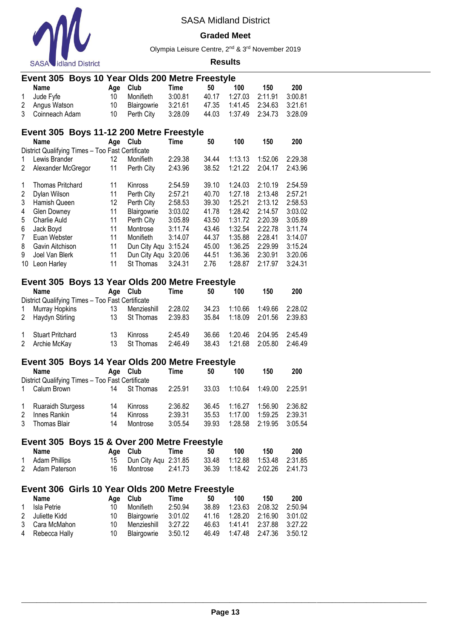

### **Graded Meet**

Olympia Leisure Centre, 2nd & 3rd November 2019

|                | Event 305 Boys 10 Year Olds 200 Metre Freestyle                 |          |                      |             |       |         |         |         |
|----------------|-----------------------------------------------------------------|----------|----------------------|-------------|-------|---------|---------|---------|
|                | <b>Name</b>                                                     | Age      | Club                 | <b>Time</b> | 50    | 100     | 150     | 200     |
| $\mathbf 1$    | Jude Fyfe                                                       | 10       | Monifieth            | 3:00.81     | 40.17 | 1:27.03 | 2:11.91 | 3:00.81 |
| 2              | Angus Watson                                                    | 10       | Blairgowrie          | 3:21.61     | 47.35 | 1:41.45 | 2:34.63 | 3:21.61 |
| 3              | Coinneach Adam                                                  | 10       | Perth City           | 3:28.09     | 44.03 | 1:37.49 | 2:34.73 | 3:28.09 |
|                |                                                                 |          |                      |             |       |         |         |         |
|                | Event 305 Boys 11-12 200 Metre Freestyle                        |          |                      |             |       |         |         |         |
|                | <b>Name</b><br>District Qualifying Times - Too Fast Certificate | Age Club |                      | <b>Time</b> | 50    | 100     | 150     | 200     |
| 1              | Lewis Brander                                                   | 12       | Monifieth            | 2:29.38     | 34.44 | 1:13.13 | 1:52.06 | 2:29.38 |
| $\overline{2}$ | Alexander McGregor                                              | 11       | Perth City           | 2:43.96     | 38.52 | 1:21.22 | 2:04.17 | 2:43.96 |
|                |                                                                 |          |                      |             |       |         |         |         |
| 1              | <b>Thomas Pritchard</b>                                         | 11       | Kinross              | 2:54.59     | 39.10 | 1:24.03 | 2:10.19 | 2:54.59 |
| $\overline{c}$ | Dylan Wilson                                                    | 11       | Perth City           | 2:57.21     | 40.70 | 1:27.18 | 2:13.48 | 2:57.21 |
| 3              | Hamish Queen                                                    | 12       | Perth City           | 2:58.53     | 39.30 | 1:25.21 | 2:13.12 | 2:58.53 |
| $\overline{4}$ | Glen Downey                                                     | 11       | Blairgowrie          | 3:03.02     | 41.78 | 1:28.42 | 2:14.57 | 3:03.02 |
| 5              | Charlie Auld                                                    | 11       | Perth City           | 3:05.89     | 43.50 | 1:31.72 | 2:20.39 | 3:05.89 |
| 6              | Jack Boyd                                                       | 11       | Montrose             | 3:11.74     | 43.46 | 1:32.54 | 2:22.78 | 3:11.74 |
| $\overline{7}$ | Euan Webster                                                    | 11       | Monifieth            | 3:14.07     | 44.37 | 1:35.88 | 2:28.41 | 3:14.07 |
| 8              | Gavin Aitchison                                                 | 11       | Dun City Agu 3:15.24 |             | 45.00 | 1:36.25 | 2:29.99 | 3:15.24 |
| 9              | Joel Van Blerk                                                  | 11       | Dun City Aqu 3:20.06 |             | 44.51 | 1:36.36 | 2:30.91 | 3:20.06 |
|                | 10 Leon Harley                                                  | 11       | St Thomas            | 3:24.31     | 2.76  | 1:28.87 | 2:17.97 | 3:24.31 |
|                |                                                                 |          |                      |             |       |         |         |         |
|                | Event 305 Boys 13 Year Olds 200 Metre Freestyle                 |          |                      |             |       |         |         |         |
|                | Name                                                            | Age      | Club                 | <b>Time</b> | 50    | 100     | 150     | 200     |
|                | District Qualifying Times - Too Fast Certificate                |          |                      |             |       |         |         |         |
| 1              | Murray Hopkins                                                  | 13       | Menzieshill          | 2:28.02     | 34.23 | 1:10.66 | 1:49.66 | 2:28.02 |
| 2              | Haydyn Stirling                                                 | 13       | St Thomas            | 2:39.83     | 35.84 | 1:18.09 | 2:01.56 | 2:39.83 |
| 1              | <b>Stuart Pritchard</b>                                         | 13       | Kinross              | 2:45.49     | 36.66 | 1:20.46 | 2:04.95 | 2:45.49 |
| $\overline{2}$ | Archie McKay                                                    | 13       | St Thomas            | 2:46.49     | 38.43 | 1:21.68 | 2:05.80 | 2:46.49 |
|                |                                                                 |          |                      |             |       |         |         |         |
|                | Event 305 Boys 14 Year Olds 200 Metre Freestyle                 |          |                      |             |       |         |         |         |
|                | <b>Name</b>                                                     | Age      | Club                 | <b>Time</b> | 50    | 100     | 150     | 200     |
|                | District Qualifying Times - Too Fast Certificate                |          |                      |             |       |         |         |         |
| 1              | Calum Brown                                                     | 14       | St Thomas            | 2:25.91     | 33.03 | 1:10.64 | 1:49.00 | 2:25.91 |
| 1              | <b>Ruaraidh Sturgess</b>                                        | 14       | Kinross              | 2:36.82     | 36.45 | 1:16.27 | 1:56.90 | 2:36.82 |
| 2              | Innes Rankin                                                    | 14       | Kinross              | 2:39.31     | 35.53 | 1:17.00 | 1:59.25 | 2:39.31 |
| 3              | <b>Thomas Blair</b>                                             | 14       | Montrose             | 3:05.54     | 39.93 | 1:28.58 | 2:19.95 | 3:05.54 |
|                |                                                                 |          |                      |             |       |         |         |         |
|                | Event 305 Boys 15 & Over 200 Metre Freestyle                    |          |                      |             |       |         |         |         |
|                | Name                                                            | Age      | Club                 | <b>Time</b> | 50    | 100     | 150     | 200     |
| 1              | <b>Adam Phillips</b>                                            | 15       | Dun City Aqu 2:31.85 |             | 33.48 | 1:12.88 | 1:53.48 | 2:31.85 |
| 2              | Adam Paterson                                                   | 16       | Montrose             | 2:41.73     | 36.39 | 1:18.42 | 2:02.26 | 2:41.73 |
|                |                                                                 |          |                      |             |       |         |         |         |
|                | Event 306 Girls 10 Year Olds 200 Metre Freestyle                |          |                      |             |       |         |         |         |
|                | <b>Name</b>                                                     | Age      | Club                 | <b>Time</b> | 50    | 100     | 150     | 200     |
| 1              | Isla Petrie                                                     | 10       | Monifieth            | 2:50.94     | 38.89 | 1:23.63 | 2:08.32 | 2:50.94 |
| 2              | Juliette Kidd                                                   | 10       | Blairgowrie          | 3:01.02     | 41.16 | 1:28.20 | 2:16.90 | 3:01.02 |
| 3              | Cara McMahon                                                    | 10       | Menzieshill          | 3:27.22     | 46.63 | 1:41.41 | 2:37.88 | 3:27.22 |
| 4              | Rebecca Hally                                                   | 10       | Blairgowrie          | 3:50.12     | 46.49 | 1:47.48 | 2:47.36 | 3:50.12 |
|                |                                                                 |          |                      |             |       |         |         |         |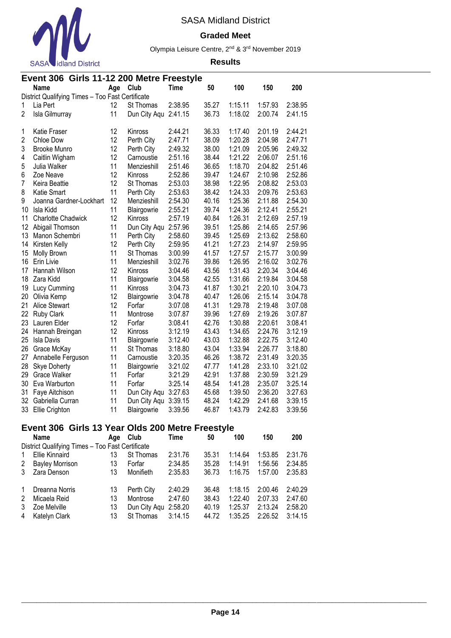

#### **Graded Meet**

Olympia Leisure Centre, 2nd & 3rd November 2019

#### **Results**

|                | Event 306 Girls 11-12 200 Metre Freestyle        |     |                      |             |       |         |         |         |  |  |  |
|----------------|--------------------------------------------------|-----|----------------------|-------------|-------|---------|---------|---------|--|--|--|
|                | Name                                             | Age | Club                 | <b>Time</b> | 50    | 100     | 150     | 200     |  |  |  |
|                | District Qualifying Times - Too Fast Certificate |     |                      |             |       |         |         |         |  |  |  |
| 1              | Lia Pert                                         | 12  | <b>St Thomas</b>     | 2:38.95     | 35.27 | 1:15.11 | 1:57.93 | 2:38.95 |  |  |  |
| $\overline{2}$ | Isla Gilmurray                                   | 11  | Dun City Aqu         | 2:41.15     | 36.73 | 1:18.02 | 2:00.74 | 2:41.15 |  |  |  |
| 1              | Katie Fraser                                     | 12  | Kinross              | 2:44.21     | 36.33 | 1:17.40 | 2:01.19 | 2:44.21 |  |  |  |
| $\overline{c}$ | Chloe Dow                                        | 12  | Perth City           | 2:47.71     | 38.09 | 1:20.28 | 2:04.98 | 2:47.71 |  |  |  |
| 3              | <b>Brooke Munro</b>                              | 12  | Perth City           | 2:49.32     | 38.00 | 1:21.09 | 2:05.96 | 2:49.32 |  |  |  |
| 4              | Caitlin Wigham                                   | 12  | Carnoustie           | 2:51.16     | 38.44 | 1:21.22 | 2:06.07 | 2:51.16 |  |  |  |
| 5              | Julia Walker                                     | 11  | Menzieshill          | 2:51.46     | 36.65 | 1:18.70 | 2:04.82 | 2:51.46 |  |  |  |
| 6              | Zoe Neave                                        | 12  | Kinross              | 2:52.86     | 39.47 | 1:24.67 | 2:10.98 | 2:52.86 |  |  |  |
| 7              | Keira Beattie                                    | 12  | St Thomas            | 2:53.03     | 38.98 | 1:22.95 | 2:08.82 | 2:53.03 |  |  |  |
| 8              | Katie Smart                                      | 11  | Perth City           | 2:53.63     | 38.42 | 1:24.33 | 2:09.76 | 2:53.63 |  |  |  |
| 9              | Joanna Gardner-Lockhart                          | 12  | Menzieshill          | 2:54.30     | 40.16 | 1:25.36 | 2:11.88 | 2:54.30 |  |  |  |
| 10             | Isla Kidd                                        | 11  | Blairgowrie          | 2:55.21     | 39.74 | 1:24.36 | 2:12.41 | 2:55.21 |  |  |  |
| 11             | <b>Charlotte Chadwick</b>                        | 12  | Kinross              | 2:57.19     | 40.84 | 1:26.31 | 2:12.69 | 2:57.19 |  |  |  |
| 12             | Abigail Thomson                                  | 11  | Dun City Aqu         | 2:57.96     | 39.51 | 1:25.86 | 2:14.65 | 2:57.96 |  |  |  |
| 13             | Manon Schembri                                   | 11  | Perth City           | 2:58.60     | 39.45 | 1:25.69 | 2:13.62 | 2:58.60 |  |  |  |
| 14             | Kirsten Kelly                                    | 12  | Perth City           | 2:59.95     | 41.21 | 1:27.23 | 2:14.97 | 2:59.95 |  |  |  |
| 15             | Molly Brown                                      | 11  | St Thomas            | 3:00.99     | 41.57 | 1:27.57 | 2:15.77 | 3:00.99 |  |  |  |
| 16             | Erin Livie                                       | 11  | Menzieshill          | 3:02.76     | 39.86 | 1:26.95 | 2:16.02 | 3:02.76 |  |  |  |
| 17             | Hannah Wilson                                    | 12  | Kinross              | 3:04.46     | 43.56 | 1:31.43 | 2:20.34 | 3:04.46 |  |  |  |
| 18             | Zara Kidd                                        | 11  | Blairgowrie          | 3:04.58     | 42.55 | 1:31.66 | 2:19.84 | 3:04.58 |  |  |  |
| 19             | Lucy Cumming                                     | 11  | Kinross              | 3:04.73     | 41.87 | 1:30.21 | 2:20.10 | 3:04.73 |  |  |  |
| 20             | Olivia Kemp                                      | 12  | Blairgowrie          | 3:04.78     | 40.47 | 1:26.06 | 2:15.14 | 3:04.78 |  |  |  |
| 21             | Alice Stewart                                    | 12  | Forfar               | 3:07.08     | 41.31 | 1:29.78 | 2:19.48 | 3:07.08 |  |  |  |
| 22             | <b>Ruby Clark</b>                                | 11  | Montrose             | 3:07.87     | 39.96 | 1:27.69 | 2:19.26 | 3:07.87 |  |  |  |
| 23             | Lauren Elder                                     | 12  | Forfar               | 3:08.41     | 42.76 | 1:30.88 | 2:20.61 | 3:08.41 |  |  |  |
| 24             | Hannah Breingan                                  | 12  | Kinross              | 3:12.19     | 43.43 | 1:34.65 | 2:24.76 | 3:12.19 |  |  |  |
| 25             | Isla Davis                                       | 11  | Blairgowrie          | 3:12.40     | 43.03 | 1:32.88 | 2:22.75 | 3:12.40 |  |  |  |
| 26             | Grace McKay                                      | 11  | St Thomas            | 3:18.80     | 43.04 | 1:33.94 | 2:26.77 | 3:18.80 |  |  |  |
| 27             | Annabelle Ferguson                               | 11  | Carnoustie           | 3:20.35     | 46.26 | 1:38.72 | 2:31.49 | 3:20.35 |  |  |  |
| 28             | <b>Skye Doherty</b>                              | 11  | Blairgowrie          | 3:21.02     | 47.77 | 1:41.28 | 2:33.10 | 3:21.02 |  |  |  |
| 29             | <b>Grace Walker</b>                              | 11  | Forfar               | 3:21.29     | 42.91 | 1:37.88 | 2:30.59 | 3:21.29 |  |  |  |
| 30             | Eva Warburton                                    | 11  | Forfar               | 3:25.14     | 48.54 | 1:41.28 | 2:35.07 | 3:25.14 |  |  |  |
| 31             | Faye Aitchison                                   | 11  | Dun City Aqu 3:27.63 |             | 45.68 | 1:39.50 | 2:36.20 | 3:27.63 |  |  |  |
| 32             | Gabriella Curran                                 | 11  | Dun City Aqu         | 3:39.15     | 48.24 | 1:42.29 | 2:41.68 | 3:39.15 |  |  |  |
| 33             | Ellie Crighton                                   | 11  | Blairgowrie          | 3:39.56     | 46.87 | 1:43.79 | 2:42.83 | 3:39.56 |  |  |  |

# **Event 306 Girls 13 Year Olds 200 Metre Freestyle**

|                                                  | Name                   | Aae | Club         | Time    | 50    | 100     | 150     | 200     |  |  |
|--------------------------------------------------|------------------------|-----|--------------|---------|-------|---------|---------|---------|--|--|
| District Qualifying Times - Too Fast Certificate |                        |     |              |         |       |         |         |         |  |  |
| $\mathbf{1}$                                     | Ellie Kinnaird         | 13  | St Thomas    | 2:31.76 | 35.31 | 1:14.64 | 1:53.85 | 2:31.76 |  |  |
| 2                                                | <b>Bayley Morrison</b> | 13  | Forfar       | 2:34.85 | 35.28 | 1:14.91 | 1:56.56 | 2:34.85 |  |  |
| 3                                                | Zara Denson            | 13  | Monifieth    | 2:35.83 | 36.73 | 1:16.75 | 1:57.00 | 2:35.83 |  |  |
| -1                                               | Dreanna Norris         | 13  | Perth City   | 2:40.29 | 36.48 | 1:18.15 | 2:00.46 | 2:40.29 |  |  |
| 2                                                | Micaela Reid           | 13  | Montrose     | 2:47.60 | 38.43 | 1:22.40 | 2:07.33 | 2:47.60 |  |  |
| 3                                                | Zoe Melville           | 13  | Dun City Aqu | 2:58.20 | 40.19 | 1:25.37 | 2:13.24 | 2:58.20 |  |  |
| 4                                                | Katelyn Clark          | 13  | St Thomas    | 3:14.15 | 44.72 | 1:35.25 | 2:26.52 | 3:14.15 |  |  |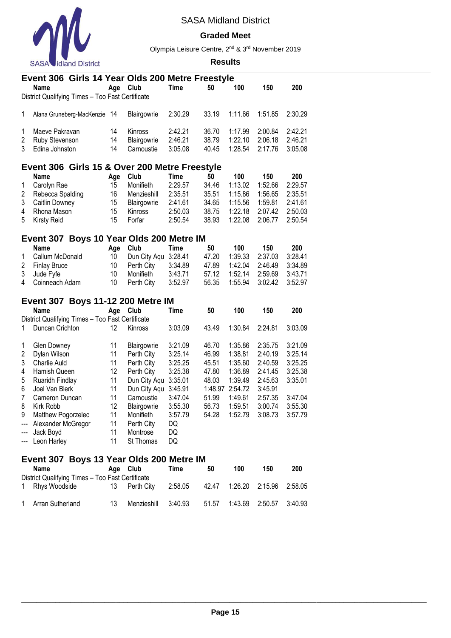

### **Graded Meet**

Olympia Leisure Centre, 2nd & 3rd November 2019

|                | Event 306 Girls 14 Year Olds 200 Metre Freestyle |          |              |             |         |         |         |         |
|----------------|--------------------------------------------------|----------|--------------|-------------|---------|---------|---------|---------|
|                | <b>Name</b>                                      | Age Club |              | Time        | 50      | 100     | 150     | 200     |
|                | District Qualifying Times - Too Fast Certificate |          |              |             |         |         |         |         |
| 1              | Alana Gruneberg-MacKenzie 14                     |          | Blairgowrie  | 2:30.29     | 33.19   | 1:11.66 | 1:51.85 | 2:30.29 |
| 1              | Maeve Pakravan                                   | 14       | Kinross      | 2:42.21     | 36.70   | 1:17.99 | 2:00.84 | 2:42.21 |
| 2              | Ruby Stevenson                                   | 14       | Blairgowrie  | 2:46.21     | 38.79   | 1:22.10 | 2:06.18 | 2:46.21 |
| 3              | Edina Johnston                                   | 14       | Carnoustie   | 3:05.08     | 40.45   | 1:28.54 | 2:17.76 | 3:05.08 |
|                | Event 306 Girls 15 & Over 200 Metre Freestyle    |          |              |             |         |         |         |         |
|                | <b>Name</b>                                      | Age      | Club         | <b>Time</b> | 50      | 100     | 150     | 200     |
| 1              | Carolyn Rae                                      | 15       | Monifieth    | 2:29.57     | 34.46   | 1:13.02 | 1:52.66 | 2:29.57 |
| $\overline{c}$ | Rebecca Spalding                                 | 16       | Menzieshill  | 2:35.51     | 35.51   | 1:15.86 | 1:56.65 | 2:35.51 |
| 3              | Caitlin Downey                                   | 15       | Blairgowrie  | 2:41.61     | 34.65   | 1:15.56 | 1:59.81 | 2:41.61 |
| 4              | Rhona Mason                                      | 15       | Kinross      | 2:50.03     | 38.75   | 1:22.18 | 2:07.42 | 2:50.03 |
| 5              | <b>Kirsty Reid</b>                               | 15       | Forfar       | 2:50.54     | 38.93   | 1:22.08 | 2:06.77 | 2:50.54 |
|                | Event 307 Boys 10 Year Olds 200 Metre IM         |          |              |             |         |         |         |         |
|                | <b>Name</b>                                      | Age      | Club         | <b>Time</b> | 50      | 100     | 150     | 200     |
| 1              | Callum McDonald                                  | 10       | Dun City Aqu | 3:28.41     | 47.20   | 1:39.33 | 2:37.03 | 3:28.41 |
| 2              | <b>Finlay Bruce</b>                              | 10       | Perth City   | 3:34.89     | 47.89   | 1:42.04 | 2:46.49 | 3:34.89 |
| 3              | Jude Fyfe                                        | 10       | Monifieth    | 3:43.71     | 57.12   | 1:52.14 | 2:59.69 | 3:43.71 |
| 4              | Coinneach Adam                                   | 10       | Perth City   | 3:52.97     | 56.35   | 1:55.94 | 3:02.42 | 3:52.97 |
|                | <b>Event 307 Boys 11-12 200 Metre IM</b>         |          |              |             |         |         |         |         |
|                | <b>Name</b>                                      | Age      | Club         | <b>Time</b> | 50      | 100     | 150     | 200     |
|                | District Qualifying Times - Too Fast Certificate |          |              |             |         |         |         |         |
| 1              | Duncan Crichton                                  | 12       | Kinross      | 3:03.09     | 43.49   | 1:30.84 | 2:24.81 | 3:03.09 |
| 1              | Glen Downey                                      | 11       | Blairgowrie  | 3:21.09     | 46.70   | 1:35.86 | 2:35.75 | 3:21.09 |
| 2              | Dylan Wilson                                     | 11       | Perth City   | 3:25.14     | 46.99   | 1:38.81 | 2:40.19 | 3:25.14 |
| 3              | Charlie Auld                                     | 11       | Perth City   | 3:25.25     | 45.51   | 1:35.60 | 2:40.59 | 3:25.25 |
| 4              | Hamish Queen                                     | 12       | Perth City   | 3:25.38     | 47.80   | 1:36.89 | 2:41.45 | 3:25.38 |
| 5              | Ruaridh Findlay                                  | 11       | Dun City Aqu | 3:35.01     | 48.03   | 1:39.49 | 2:45.63 | 3:35.01 |
| 6              | Joel Van Blerk                                   | 11       | Dun City Aqu | 3:45.91     | 1:48.97 | 2:54.72 | 3:45.91 |         |
| $\overline{7}$ | Cameron Duncan                                   | 11       | Carnoustie   | 3:47.04     | 51.99   | 1:49.61 | 2:57.35 | 3:47.04 |
| 8              | Kirk Robb                                        | 12       | Blairgowrie  | 3:55.30     | 56.73   | 1:59.51 | 3:00.74 | 3:55.30 |
| 9              | Matthew Pogorzelec                               | 11       | Monifieth    | 3:57.79     | 54.28   | 1:52.79 | 3:08.73 | 3:57.79 |
| ---            | Alexander McGregor                               | 11       | Perth City   | DQ          |         |         |         |         |
| ---            | Jack Boyd                                        | 11       | Montrose     | DQ          |         |         |         |         |
| ---            | Leon Harley                                      | 11       | St Thomas    | DQ          |         |         |         |         |
|                | Event 307 Boys 13 Year Olds 200 Metre IM         |          |              |             |         |         |         |         |
|                | Name                                             | Age Club |              | <b>Time</b> | 50      | 100     | 150     | 200     |
|                | District Qualifying Times - Too Fast Certificate |          |              |             |         |         |         |         |
| 1              | Rhys Woodside                                    | 13       | Perth City   | 2:58.05     | 42.47   | 1:26.20 | 2:15.96 | 2:58.05 |
| 1              | Arran Sutherland                                 | 13       | Menzieshill  | 3:40.93     | 51.57   | 1:43.69 | 2:50.57 | 3:40.93 |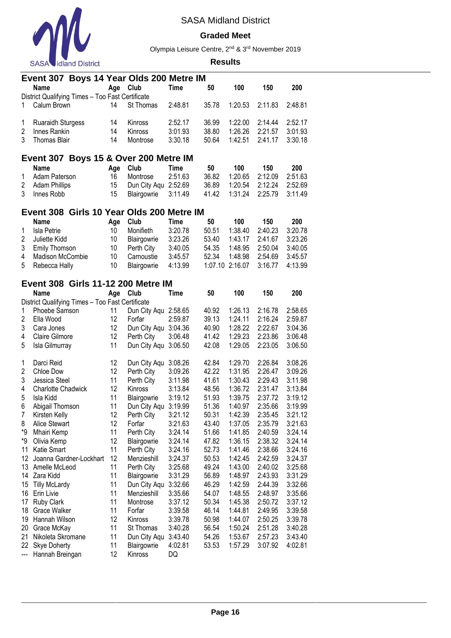

### **Graded Meet**

Olympia Leisure Centre, 2nd & 3rd November 2019

|                     | Event 307 Boys 14 Year Olds 200 Metre IM         |          |                      |                    |                |                    |                    |                    |
|---------------------|--------------------------------------------------|----------|----------------------|--------------------|----------------|--------------------|--------------------|--------------------|
|                     | <b>Name</b>                                      | Age      | Club                 | <b>Time</b>        | 50             | 100                | 150                | 200                |
|                     | District Qualifying Times - Too Fast Certificate |          |                      |                    |                |                    |                    |                    |
| 1                   | Calum Brown                                      | 14       | St Thomas            | 2:48.81            | 35.78          | 1:20.53            | 2:11.83            | 2:48.81            |
|                     |                                                  |          |                      |                    |                |                    |                    |                    |
| 1                   | <b>Ruaraidh Sturgess</b>                         | 14       | Kinross              | 2:52.17            | 36.99          | 1:22.00            | 2:14.44            | 2:52.17            |
| $\overline{2}$<br>3 | Innes Rankin                                     | 14       | Kinross              | 3:01.93            | 38.80          | 1:26.26            | 2:21.57            | 3:01.93            |
|                     | Thomas Blair                                     | 14       | Montrose             | 3:30.18            | 50.64          | 1:42.51            | 2:41.17            | 3:30.18            |
|                     | Event 307 Boys 15 & Over 200 Metre IM            |          |                      |                    |                |                    |                    |                    |
|                     | <b>Name</b>                                      | Age      | Club                 | <b>Time</b>        | 50             | 100                | 150                | 200                |
| 1                   | Adam Paterson                                    | 16       | Montrose             | 2:51.63            | 36.82          | 1:20.65            | 2:12.09            | 2:51.63            |
| 2                   | <b>Adam Phillips</b>                             | 15       | Dun City Aqu 2:52.69 |                    | 36.89          | 1:20.54            | 2:12.24            | 2:52.69            |
| 3                   | Innes Robb                                       | 15       | Blairgowrie          | 3:11.49            | 41.42          | 1:31.24            | 2:25.79            | 3:11.49            |
|                     |                                                  |          |                      |                    |                |                    |                    |                    |
|                     | Event 308 Girls 10 Year Olds 200 Metre IM        |          |                      |                    |                |                    |                    |                    |
|                     | <b>Name</b>                                      | Age      | Club                 | <b>Time</b>        | 50             | 100                | 150                | 200                |
| 1                   | Isla Petrie                                      | 10       | Monifieth            | 3:20.78            | 50.51          | 1:38.40            | 2:40.23            | 3:20.78            |
| 2                   | Juliette Kidd                                    | 10       | Blairgowrie          | 3:23.26            | 53.40          | 1:43.17            | 2:41.67            | 3:23.26            |
| 3                   | <b>Emily Thomson</b>                             | 10       | Perth City           | 3:40.05            | 54.35          | 1:48.95            | 2:50.04            | 3:40.05            |
| 4                   | Madison McCombie                                 | 10       | Carnoustie           | 3:45.57            | 52.34          | 1:48.98            | 2:54.69            | 3:45.57            |
| 5                   | Rebecca Hally                                    | 10       | Blairgowrie          | 4:13.99            | 1:07.10        | 2:16.07            | 3:16.77            | 4:13.99            |
|                     | Event 308 Girls 11-12 200 Metre IM               |          |                      |                    |                |                    |                    |                    |
|                     | Name                                             | Age      | Club                 | <b>Time</b>        | 50             | 100                | 150                | 200                |
|                     | District Qualifying Times - Too Fast Certificate |          |                      |                    |                |                    |                    |                    |
| 1                   | Phoebe Samson                                    | 11       | Dun City Aqu 2:58.65 |                    | 40.92          | 1:26.13            | 2:16.78            | 2:58.65            |
| $\overline{2}$      | Ella Wood                                        | 12       | Forfar               | 2:59.87            | 39.13          | 1:24.11            | 2:16.24            | 2:59.87            |
| 3                   | Cara Jones                                       | 12       | Dun City Aqu 3:04.36 |                    | 40.90          | 1:28.22            | 2:22.67            | 3:04.36            |
| 4                   | Claire Gilmore                                   | 12       | Perth City           | 3:06.48            | 41.42          | 1:29.23            | 2:23.86            | 3:06.48            |
| 5                   | Isla Gilmurray                                   | 11       | Dun City Aqu 3:06.50 |                    | 42.08          | 1:29.05            | 2:23.05            | 3:06.50            |
|                     |                                                  |          |                      |                    |                |                    |                    |                    |
| 1                   | Darci Reid                                       | 12       | Dun City Aqu 3:08.26 |                    | 42.84          | 1:29.70            | 2:26.84            | 3:08.26            |
| $\overline{2}$      | Chloe Dow                                        | 12       | Perth City           | 3:09.26            | 42.22          | 1:31.95            | 2:26.47            | 3:09.26            |
| 3                   | Jessica Steel                                    | 11       | Perth City           | 3:11.98            | 41.61          | 1:30.43            | 2:29.43            | 3:11.98            |
| 4                   | <b>Charlotte Chadwick</b>                        | 12       | Kinross              | 3:13.84            | 48.56          | 1:36.72            | 2:31.47            | 3:13.84            |
| 5                   | Isla Kidd                                        | 11       | Blairgowrie          | 3:19.12            | 51.93          | 1:39.75            | 2:37.72            | 3:19.12            |
| 6                   | Abigail Thomson                                  | 11<br>12 | Dun City Agu         | 3:19.99            | 51.36          | 1:40.97<br>1:42.39 | 2:35.66            | 3:19.99<br>3:21.12 |
| 7<br>8              | Kirsten Kelly<br>Alice Stewart                   | 12       | Perth City<br>Forfar | 3:21.12<br>3:21.63 | 50.31<br>43.40 | 1:37.05            | 2:35.45<br>2:35.79 | 3:21.63            |
| *9                  | Mhairi Kemp                                      | 11       | Perth City           | 3:24.14            | 51.66          | 1:41.85            | 2:40.59            | 3:24.14            |
| *9                  | Olivia Kemp                                      | 12       | Blairgowrie          | 3:24.14            | 47.82          | 1:36.15            | 2:38.32            | 3:24.14            |
| 11                  | Katie Smart                                      | 11       | Perth City           | 3:24.16            | 52.73          | 1:41.46            | 2:38.66            | 3:24.16            |
| 12                  | Joanna Gardner-Lockhart                          | 12       | Menzieshill          | 3:24.37            | 50.53          | 1:42.45            | 2:42.59            | 3:24.37            |
| 13                  | Amelle McLeod                                    | 11       | Perth City           | 3:25.68            | 49.24          | 1:43.00            | 2:40.02            | 3:25.68            |
| 14                  | Zara Kidd                                        | 11       | Blairgowrie          | 3:31.29            | 56.89          | 1:48.97            | 2:43.93            | 3:31.29            |
| 15                  | <b>Tilly McLardy</b>                             | 11       | Dun City Aqu 3:32.66 |                    | 46.29          | 1:42.59            | 2:44.39            | 3:32.66            |
| 16                  | Erin Livie                                       | 11       | Menzieshill          | 3:35.66            | 54.07          | 1:48.55            | 2:48.97            | 3:35.66            |
| 17                  | <b>Ruby Clark</b>                                | 11       | Montrose             | 3:37.12            | 50.34          | 1:45.38            | 2:50.72            | 3:37.12            |
| 18                  | Grace Walker                                     | 11       | Forfar               | 3:39.58            | 46.14          | 1:44.81            | 2:49.95            | 3:39.58            |
| 19                  | Hannah Wilson                                    | 12       | Kinross              | 3:39.78            | 50.98          | 1:44.07            | 2:50.25            | 3:39.78            |
| 20                  | Grace McKay                                      | 11       | St Thomas            | 3:40.28            | 56.54          | 1:50.24            | 2:51.28            | 3:40.28            |
| 21                  | Nikoleta Skromane                                | 11       | Dun City Aqu 3:43.40 |                    | 54.26          | 1:53.67            | 2:57.23            | 3:43.40            |
| 22                  | <b>Skye Doherty</b>                              | 11       | Blairgowrie          | 4:02.81            | 53.53          | 1:57.29            | 3:07.92            | 4:02.81            |
| ---                 | Hannah Breingan                                  | 12       | Kinross              | DQ                 |                |                    |                    |                    |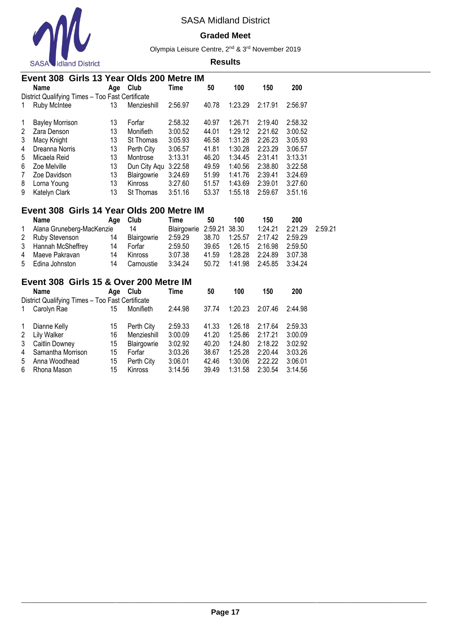

#### **Graded Meet**

Olympia Leisure Centre, 2nd & 3rd November 2019

#### **Results**

|                      | Event 308 Girls 13 Year Olds 200 Metre IM        |     |              |         |       |         |         |         |  |  |  |  |
|----------------------|--------------------------------------------------|-----|--------------|---------|-------|---------|---------|---------|--|--|--|--|
|                      | <b>Name</b>                                      | Age | Club         | Time    | 50    | 100     | 150     | 200     |  |  |  |  |
|                      | District Qualifying Times - Too Fast Certificate |     |              |         |       |         |         |         |  |  |  |  |
| 1                    | Ruby McIntee                                     | 13  | Menzieshill  | 2:56.97 | 40.78 | 1:23.29 | 2:17.91 | 2:56.97 |  |  |  |  |
| -1                   | <b>Bayley Morrison</b>                           | 13  | Forfar       | 2:58.32 | 40.97 | 1:26.71 | 2:19.40 | 2:58.32 |  |  |  |  |
| $\mathbf{2}^{\circ}$ | Zara Denson                                      | 13  | Monifieth    | 3:00.52 | 44.01 | 1:29.12 | 2:21.62 | 3:00.52 |  |  |  |  |
| 3                    | Macy Knight                                      | 13  | St Thomas    | 3:05.93 | 46.58 | 1:31.28 | 2:26.23 | 3:05.93 |  |  |  |  |
| 4                    | Dreanna Norris                                   | 13  | Perth City   | 3:06.57 | 41.81 | 1:30.28 | 2:23.29 | 3:06.57 |  |  |  |  |
| 5                    | Micaela Reid                                     | 13  | Montrose     | 3:13.31 | 46.20 | 1:34.45 | 2:31.41 | 3:13.31 |  |  |  |  |
| 6                    | Zoe Melville                                     | 13  | Dun City Aqu | 3:22.58 | 49.59 | 1:40.56 | 2:38.80 | 3:22.58 |  |  |  |  |
| 7                    | Zoe Davidson                                     | 13  | Blairgowrie  | 3:24.69 | 51.99 | 1:41.76 | 2:39.41 | 3:24.69 |  |  |  |  |
| 8                    | Lorna Young                                      | 13  | Kinross      | 3:27.60 | 51.57 | 1:43.69 | 2:39.01 | 3:27.60 |  |  |  |  |
| 9                    | Katelyn Clark                                    | 13  | St Thomas    | 3:51.16 | 53.37 | 1:55.18 | 2:59.67 | 3:51.16 |  |  |  |  |

# **Event 308 Girls 14 Year Olds 200 Metre IM**

|              | <b>Name</b>               | Age Club |             | Time                      | 50    | 100             | 150                              | 200     |  |
|--------------|---------------------------|----------|-------------|---------------------------|-------|-----------------|----------------------------------|---------|--|
| $\mathbf{1}$ | Alana Gruneberg-MacKenzie |          | 14          | Blairgowrie 2:59.21 38.30 |       |                 | 1:24.21  2:21.29  2:59.21        |         |  |
|              | 2 Ruby Stevenson          | 14       | Blairgowrie | 2:59.29                   | 38.70 |                 | 1:25.57  2:17.42  2:59.29        |         |  |
|              | 3 Hannah McSheffrey       | 14       | Forfar      | 2:59.50                   |       |                 | 39.65  1:26.15  2:16.98  2:59.50 |         |  |
|              | 4 Maeve Pakravan          | 14       | Kinross     | 3:07.38                   | 41.59 | 1:28.28 2:24.89 |                                  | 3:07.38 |  |
|              | 5 Edina Johnston          | 14       | Carnoustie  | 3:34.24                   |       |                 | 50.72 1:41.98 2:45.85 3:34.24    |         |  |

### **Event 308 Girls 15 & Over 200 Metre IM**

|                | <b>Name</b>                                      | Age | Club           | Time    | 50    | 100     | 150     | 200     |
|----------------|--------------------------------------------------|-----|----------------|---------|-------|---------|---------|---------|
|                | District Qualifying Times - Too Fast Certificate |     |                |         |       |         |         |         |
| 1              | Carolyn Rae                                      | 15  | Monifieth      | 2:44.98 | 37.74 | 1:20.23 | 2:07.46 | 2:44.98 |
| 1              | Dianne Kelly                                     | 15  | Perth City     | 2:59.33 | 41.33 | 1:26.18 | 2:17.64 | 2:59.33 |
| 2              | Lily Walker                                      | 16  | Menzieshill    | 3:00.09 | 41.20 | 1:25.86 | 2:17.21 | 3:00.09 |
| 3              | <b>Caitlin Downey</b>                            | 15  | Blairgowrie    | 3:02.92 | 40.20 | 1:24.80 | 2:18.22 | 3:02.92 |
| $\overline{4}$ | Samantha Morrison                                | 15  | Forfar         | 3:03.26 | 38.67 | 1:25.28 | 2:20.44 | 3:03.26 |
| 5              | Anna Woodhead                                    | 15  | Perth City     | 3:06.01 | 42.46 | 1:30.06 | 2:22.22 | 3:06.01 |
| 6              | Rhona Mason                                      | 15  | <b>Kinross</b> | 3:14.56 | 39.49 | 1:31.58 | 2:30.54 | 3:14.56 |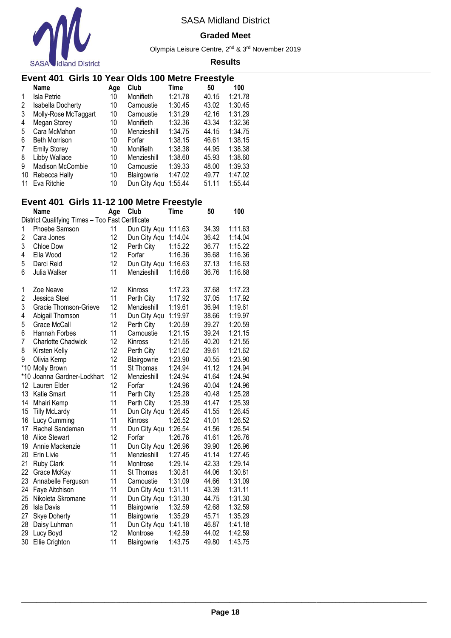

#### **Graded Meet**

Olympia Leisure Centre, 2nd & 3rd November 2019

#### **Results**

# **Event 401 Girls 10 Year Olds 100 Metre Freestyle**

|    | <b>Name</b>             | Age | Club         | Time    | 50    | 100     |
|----|-------------------------|-----|--------------|---------|-------|---------|
|    | Isla Petrie             | 10  | Monifieth    | 1:21.78 | 40.15 | 1:21.78 |
| 2  | Isabella Docherty       | 10  | Carnoustie   | 1:30.45 | 43.02 | 1:30.45 |
| 3  | Molly-Rose McTaggart    | 10  | Carnoustie   | 1:31.29 | 42.16 | 1:31.29 |
| 4  | Megan Storey            | 10  | Monifieth    | 1:32.36 | 43.34 | 1:32.36 |
| 5  | Cara McMahon            | 10  | Menzieshill  | 1:34.75 | 44.15 | 1:34.75 |
| 6  | <b>Beth Morrison</b>    | 10  | Forfar       | 1:38.15 | 46.61 | 1:38.15 |
| 7  | <b>Emily Storey</b>     | 10  | Monifieth    | 1:38.38 | 44.95 | 1:38.38 |
| 8  | Libby Wallace           | 10  | Menzieshill  | 1:38.60 | 45.93 | 1:38.60 |
| 9  | <b>Madison McCombie</b> | 10  | Carnoustie   | 1:39.33 | 48.00 | 1:39.33 |
| 10 | Rebecca Hally           | 10  | Blairgowrie  | 1:47.02 | 49.77 | 1:47.02 |
| 11 | Eva Ritchie             | 10  | Dun City Agu | 1:55.44 | 51.11 | 1:55.44 |

### **Event 401 Girls 11-12 100 Metre Freestyle**

|    | <b>Name</b>                                      | Age | Club         | Time    | 50    | 100     |
|----|--------------------------------------------------|-----|--------------|---------|-------|---------|
|    | District Qualifying Times - Too Fast Certificate |     |              |         |       |         |
| 1  | Phoebe Samson                                    | 11  | Dun City Aqu | 1:11.63 | 34.39 | 1:11.63 |
| 2  | Cara Jones                                       | 12  | Dun City Aqu | 1:14.04 | 36.42 | 1:14.04 |
| 3  | Chloe Dow                                        | 12  | Perth City   | 1:15.22 | 36.77 | 1:15.22 |
| 4  | Ella Wood                                        | 12  | Forfar       | 1:16.36 | 36.68 | 1:16.36 |
| 5  | Darci Reid                                       | 12  | Dun City Aqu | 1:16.63 | 37.13 | 1:16.63 |
| 6  | Julia Walker                                     | 11  | Menzieshill  | 1:16.68 | 36.76 | 1:16.68 |
| 1  | Zoe Neave                                        | 12  | Kinross      | 1:17.23 | 37.68 | 1:17.23 |
| 2  | Jessica Steel                                    | 11  | Perth City   | 1:17.92 | 37.05 | 1:17.92 |
| 3  | Gracie Thomson-Grieve                            | 12  | Menzieshill  | 1:19.61 | 36.94 | 1:19.61 |
| 4  | Abigail Thomson                                  | 11  | Dun City Aqu | 1:19.97 | 38.66 | 1:19.97 |
| 5  | Grace McCall                                     | 12  | Perth City   | 1:20.59 | 39.27 | 1:20.59 |
| 6  | Hannah Forbes                                    | 11  | Carnoustie   | 1:21.15 | 39.24 | 1:21.15 |
| 7  | <b>Charlotte Chadwick</b>                        | 12  | Kinross      | 1:21.55 | 40.20 | 1:21.55 |
| 8  | Kirsten Kelly                                    | 12  | Perth City   | 1:21.62 | 39.61 | 1:21.62 |
| 9  | Olivia Kemp                                      | 12  | Blairgowrie  | 1:23.90 | 40.55 | 1:23.90 |
|    | *10 Molly Brown                                  | 11  | St Thomas    | 1:24.94 | 41.12 | 1:24.94 |
|    | *10 Joanna Gardner-Lockhart                      | 12  | Menzieshill  | 1:24.94 | 41.64 | 1:24.94 |
| 12 | Lauren Elder                                     | 12  | Forfar       | 1:24.96 | 40.04 | 1:24.96 |
| 13 | <b>Katie Smart</b>                               | 11  | Perth City   | 1:25.28 | 40.48 | 1:25.28 |
| 14 | Mhairi Kemp                                      | 11  | Perth City   | 1:25.39 | 41.47 | 1:25.39 |
| 15 | <b>Tilly McLardy</b>                             | 11  | Dun City Aqu | 1:26.45 | 41.55 | 1:26.45 |
| 16 | Lucy Cumming                                     | 11  | Kinross      | 1:26.52 | 41.01 | 1:26.52 |
| 17 | Rachel Sandeman                                  | 11  | Dun City Aqu | 1:26.54 | 41.56 | 1:26.54 |
| 18 | <b>Alice Stewart</b>                             | 12  | Forfar       | 1:26.76 | 41.61 | 1:26.76 |
| 19 | Annie Mackenzie                                  | 11  | Dun City Aqu | 1:26.96 | 39.90 | 1:26.96 |
| 20 | Erin Livie                                       | 11  | Menzieshill  | 1:27.45 | 41.14 | 1:27.45 |
| 21 | <b>Ruby Clark</b>                                | 11  | Montrose     | 1:29.14 | 42.33 | 1:29.14 |
| 22 | Grace McKay                                      | 11  | St Thomas    | 1:30.81 | 44.06 | 1:30.81 |
| 23 | Annabelle Ferguson                               | 11  | Carnoustie   | 1:31.09 | 44.66 | 1:31.09 |
| 24 | Faye Aitchison                                   | 11  | Dun City Aqu | 1:31.11 | 43.39 | 1:31.11 |
| 25 | Nikoleta Skromane                                | 11  | Dun City Aqu | 1:31.30 | 44.75 | 1:31.30 |
| 26 | Isla Davis                                       | 11  | Blairgowrie  | 1:32.59 | 42.68 | 1:32.59 |
| 27 | <b>Skye Doherty</b>                              | 11  | Blairgowrie  | 1:35.29 | 45.71 | 1:35.29 |
| 28 | Daisy Luhman                                     | 11  | Dun City Aqu | 1:41.18 | 46.87 | 1:41.18 |
| 29 | Lucy Boyd                                        | 12  | Montrose     | 1:42.59 | 44.02 | 1:42.59 |
| 30 | Ellie Crighton                                   | 11  | Blairgowrie  | 1:43.75 | 49.80 | 1:43.75 |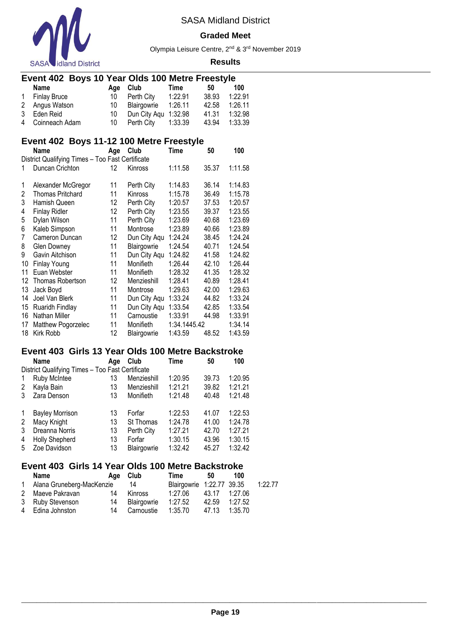

#### **Graded Meet**

Olympia Leisure Centre, 2nd & 3rd November 2019

#### **Results**

# **Event 402 Boys 10 Year Olds 100 Metre Freestyle**

| Name             |             | Age Club             | Time    | 50    | 100     |
|------------------|-------------|----------------------|---------|-------|---------|
| 1 Finlay Bruce   |             | 10 Perth City        | 1:22.91 | 38.93 | 1:22.91 |
| 2 Angus Watson   | 10          | Blairgowrie 1:26.11  |         | 42.58 | 1:26.11 |
| 3 Eden Reid      | $10 \qquad$ | Dun City Agu 1:32.98 |         | 41.31 | 1:32.98 |
| 4 Coinneach Adam | 10          | Perth City 1:33.39   |         | 43.94 | 1:33.39 |

# **Event 402 Boys 11-12 100 Metre Freestyle**

|    | Name                                             | Age | Club         | Time         | 50    | 100     |
|----|--------------------------------------------------|-----|--------------|--------------|-------|---------|
|    | District Qualifying Times - Too Fast Certificate |     |              |              |       |         |
| 1  | Duncan Crichton                                  | 12  | Kinross      | 1:11.58      | 35.37 | 1:11.58 |
| 1  | Alexander McGregor                               | 11  | Perth City   | 1:14.83      | 36.14 | 1:14.83 |
| 2  | <b>Thomas Pritchard</b>                          | 11  | Kinross      | 1:15.78      | 36.49 | 1:15.78 |
| 3  | Hamish Queen                                     | 12  | Perth City   | 1:20.57      | 37.53 | 1:20.57 |
| 4  | Finlay Ridler                                    | 12  | Perth City   | 1:23.55      | 39.37 | 1:23.55 |
| 5  | Dylan Wilson                                     | 11  | Perth City   | 1:23.69      | 40.68 | 1:23.69 |
| 6  | Kaleb Simpson                                    | 11  | Montrose     | 1:23.89      | 40.66 | 1:23.89 |
| 7  | Cameron Duncan                                   | 12  | Dun City Aqu | 1:24.24      | 38.45 | 1:24.24 |
| 8  | <b>Glen Downey</b>                               | 11  | Blairgowrie  | 1:24.54      | 40.71 | 1:24.54 |
| 9  | Gavin Aitchison                                  | 11  | Dun City Agu | 1:24.82      | 41.58 | 1:24.82 |
| 10 | Finlay Young                                     | 11  | Monifieth    | 1:26.44      | 42.10 | 1:26.44 |
| 11 | Euan Webster                                     | 11  | Monifieth    | 1:28.32      | 41.35 | 1:28.32 |
| 12 | Thomas Robertson                                 | 12  | Menzieshill  | 1:28.41      | 40.89 | 1:28.41 |
| 13 | Jack Boyd                                        | 11  | Montrose     | 1:29.63      | 42.00 | 1:29.63 |
| 14 | Joel Van Blerk                                   | 11  | Dun City Aqu | 1:33.24      | 44.82 | 1:33.24 |
| 15 | Ruaridh Findlay                                  | 11  | Dun City Aqu | 1:33.54      | 42.85 | 1:33.54 |
| 16 | Nathan Miller                                    | 11  | Carnoustie   | 1:33.91      | 44.98 | 1:33.91 |
| 17 | Matthew Pogorzelec                               | 11  | Monifieth    | 1:34.1445.42 |       | 1:34.14 |
| 18 | Kirk Robb                                        | 12  | Blairgowrie  | 1:43.59      | 48.52 | 1:43.59 |

### **Event 403 Girls 13 Year Olds 100 Metre Backstroke**

|   | Name                                             | Age | Club        | Time    | 50    | 100     |  |  |  |  |  |
|---|--------------------------------------------------|-----|-------------|---------|-------|---------|--|--|--|--|--|
|   | District Qualifying Times - Too Fast Certificate |     |             |         |       |         |  |  |  |  |  |
| 1 | Ruby McIntee                                     | 13  | Menzieshill | 1:20.95 | 39.73 | 1:20.95 |  |  |  |  |  |
| 2 | Kayla Bain                                       | 13  | Menzieshill | 1:21.21 | 39.82 | 1:21.21 |  |  |  |  |  |
| 3 | Zara Denson                                      | 13  | Monifieth   | 1:21.48 | 40.48 | 1:21.48 |  |  |  |  |  |
|   |                                                  |     |             |         |       |         |  |  |  |  |  |
| 1 | <b>Bayley Morrison</b>                           | 13  | Forfar      | 1:22.53 | 41.07 | 1:22.53 |  |  |  |  |  |
| 2 | Macy Knight                                      | 13  | St Thomas   | 1:24.78 | 41.00 | 1:24.78 |  |  |  |  |  |
| 3 | Dreanna Norris                                   | 13  | Perth City  | 1:27.21 | 42.70 | 1:27.21 |  |  |  |  |  |
| 4 | <b>Holly Shepherd</b>                            | 13  | Forfar      | 1:30.15 | 43.96 | 1:30.15 |  |  |  |  |  |
| 5 | Zoe Davidson                                     | 13  | Blairgowrie | 1:32.42 | 45.27 | 1:32.42 |  |  |  |  |  |
|   |                                                  |     |             |         |       |         |  |  |  |  |  |

# **Event 403 Girls 14 Year Olds 100 Metre Backstroke**

| Name                      | Aae | Club        | Time                      | 50            | 100     |         |
|---------------------------|-----|-------------|---------------------------|---------------|---------|---------|
| Alana Gruneberg-MacKenzie |     | 14          | Blairgowrie 1:22.77 39.35 |               |         | 1:22.77 |
| 2 Maeve Pakravan          | 14  | Kinross     | 1:27.06                   | 43.17 1:27.06 |         |         |
| 3 Ruby Stevenson          | 14  | Blairgowrie | 1:27.52                   | 42.59         | 1:27.52 |         |
| 4 Edina Johnston          | 14  | Carnoustie  | 1:35.70                   | 47.13         | 1:35.70 |         |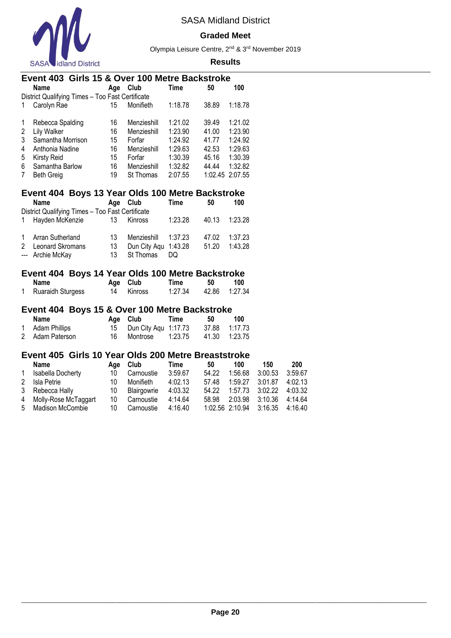

#### **Graded Meet**

Olympia Leisure Centre, 2nd & 3rd November 2019

#### **Results**

# **Event 403 Girls 15 & Over 100 Metre Backstroke**  $A$ ge **Club**

| District Qualifying Times - Too Fast Certificate |                   |    |                  |         |                 |         |  |  |  |
|--------------------------------------------------|-------------------|----|------------------|---------|-----------------|---------|--|--|--|
|                                                  | Carolyn Rae       | 15 | Monifieth        | 1:18.78 | 38.89           | 1:18.78 |  |  |  |
| 1                                                | Rebecca Spalding  | 16 | Menzieshill      | 1:21.02 | 39.49           | 1:21.02 |  |  |  |
| 2                                                | Lily Walker       | 16 | Menzieshill      | 1:23.90 | 41.00           | 1:23.90 |  |  |  |
| 3                                                | Samantha Morrison | 15 | Forfar           | 1:24.92 | 41.77           | 1:24.92 |  |  |  |
| 4                                                | Anthonia Nadine   | 16 | Menzieshill      | 1:29.63 | 42.53           | 1:29.63 |  |  |  |
| 5                                                | Kirsty Reid       | 15 | Forfar           | 1:30.39 | 45.16           | 1:30.39 |  |  |  |
| 6                                                | Samantha Barlow   | 16 | Menzieshill      | 1:32.82 | 44.44           | 1:32.82 |  |  |  |
| 7                                                | <b>Beth Greig</b> | 19 | <b>St Thomas</b> | 2:07.55 | 1:02.45 2:07.55 |         |  |  |  |

# **Event 404 Boys 13 Year Olds 100 Metre Backstroke**

| <b>Name</b>                                      |    | Age Club             | Time    | 50    | 100     |
|--------------------------------------------------|----|----------------------|---------|-------|---------|
| District Qualifying Times - Too Fast Certificate |    |                      |         |       |         |
| 1 Hayden McKenzie                                | 13 | Kinross              | 1:23.28 | 40.13 | 1:23.28 |
|                                                  |    |                      |         |       |         |
| 1 Arran Sutherland                               | 13 | Menzieshill 1:37.23  |         | 47.02 | 1:37.23 |
| 2 Leonard Skromans                               | 13 | Dun City Agu 1:43.28 |         | 51.20 | 1:43.28 |
| --- Archie McKay                                 | 13 | St Thomas            | DO.     |       |         |

### **Event 404 Boys 14 Year Olds 100 Metre Backstroke**

| Name              |    | Age Club | Time    | 50 | 100           |
|-------------------|----|----------|---------|----|---------------|
| Ruaraidh Sturgess | 14 | Kinross  | 1:27.34 |    | 42.86 1:27.34 |

### **Event 404 Boys 15 & Over 100 Metre Backstroke**

| Name            | Age Club                | Time    | -50 | 100           |
|-----------------|-------------------------|---------|-----|---------------|
| 1 Adam Phillips | 15 Dun City Agu 1:17.73 |         |     | 37.88 1:17.73 |
| 2 Adam Paterson | 16 Montrose             | 1:23.75 |     | 41.30 1:23.75 |

### **Event 405 Girls 10 Year Olds 200 Metre Breaststroke**

|   | Name                   |    | Age Club    | Time    | 50    | 100                     | 150 | 200     |
|---|------------------------|----|-------------|---------|-------|-------------------------|-----|---------|
| 1 | Isabella Docherty      | 10 | Carnoustie  | 3:59.67 | 54.22 | 1:56.68 3:00.53         |     | 3:59.67 |
| 2 | Isla Petrie            | 10 | Monifieth   | 4:02.13 | 57.48 | 1:59.27 3:01.87         |     | 4:02.13 |
|   | 3 Rebecca Hally        | 10 | Blairgowrie | 4:03.32 | 54.22 | 1:57.73 3:02.22         |     | 4:03.32 |
|   | 4 Molly-Rose McTaggart | 10 | Carnoustie  | 4:14.64 | 58.98 | 2:03.98 3:10.36         |     | 4:14.64 |
|   | 5 Madison McCombie     | 10 | Carnoustie  | 4:16.40 |       | 1:02.56 2:10.94 3:16.35 |     | 4:16.40 |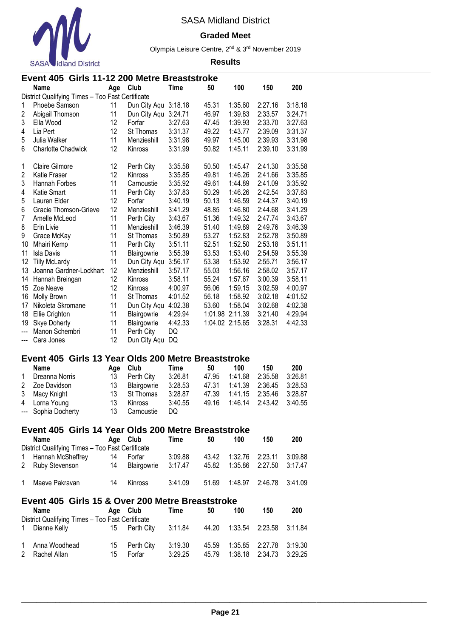

#### **Graded Meet**

Olympia Leisure Centre, 2nd & 3rd November 2019

|                         | Event 405 Girls 11-12 200 Metre Breaststroke                     |     |                      |             |       |                 |         |         |
|-------------------------|------------------------------------------------------------------|-----|----------------------|-------------|-------|-----------------|---------|---------|
|                         | Name                                                             | Age | Club                 | <b>Time</b> | 50    | 100             | 150     | 200     |
|                         | District Qualifying Times - Too Fast Certificate                 |     |                      |             |       |                 |         |         |
| $\mathbf{1}$            | Phoebe Samson                                                    | 11  | Dun City Aqu 3:18.18 |             | 45.31 | 1:35.60         | 2:27.16 | 3:18.18 |
| $\overline{\mathbf{c}}$ | Abigail Thomson                                                  | 11  | Dun City Aqu 3:24.71 |             | 46.97 | 1:39.83         | 2:33.57 | 3:24.71 |
| 3                       | Ella Wood                                                        | 12  | Forfar               | 3:27.63     | 47.45 | 1:39.93         | 2:33.70 | 3:27.63 |
| 4                       | Lia Pert                                                         | 12  | St Thomas            | 3:31.37     | 49.22 | 1:43.77         | 2:39.09 | 3:31.37 |
| 5                       | Julia Walker                                                     | 11  | Menzieshill          | 3:31.98     | 49.97 | 1:45.00         | 2:39.93 | 3:31.98 |
| 6                       | <b>Charlotte Chadwick</b>                                        | 12  | Kinross              | 3:31.99     | 50.82 | 1:45.11         | 2:39.10 | 3:31.99 |
| 1                       | <b>Claire Gilmore</b>                                            | 12  | Perth City           | 3:35.58     | 50.50 | 1:45.47         | 2:41.30 | 3:35.58 |
| $\overline{c}$          | Katie Fraser                                                     | 12  | Kinross              | 3:35.85     | 49.81 | 1:46.26         | 2:41.66 | 3:35.85 |
| 3                       | Hannah Forbes                                                    | 11  | Carnoustie           | 3:35.92     | 49.61 | 1:44.89         | 2:41.09 | 3:35.92 |
| 4                       | Katie Smart                                                      | 11  | Perth City           | 3:37.83     | 50.29 | 1:46.26         | 2:42.54 | 3:37.83 |
| 5                       | Lauren Elder                                                     | 12  | Forfar               | 3:40.19     | 50.13 | 1:46.59         | 2:44.37 | 3:40.19 |
| 6                       | Gracie Thomson-Grieve                                            | 12  | Menzieshill          | 3:41.29     | 48.85 | 1:46.80         | 2:44.68 | 3:41.29 |
| 7                       | Amelle McLeod                                                    | 11  | Perth City           | 3:43.67     | 51.36 | 1:49.32         | 2:47.74 | 3:43.67 |
| 8                       | Erin Livie                                                       | 11  | Menzieshill          | 3:46.39     | 51.40 | 1:49.89         | 2:49.76 | 3:46.39 |
| 9                       | Grace McKay                                                      | 11  | St Thomas            | 3:50.89     | 53.27 | 1:52.83         | 2:52.78 | 3:50.89 |
| 10                      | Mhairi Kemp                                                      | 11  | Perth City           | 3:51.11     | 52.51 | 1:52.50         | 2:53.18 | 3:51.11 |
| 11                      | <b>Isla Davis</b>                                                | 11  | Blairgowrie          | 3:55.39     | 53.53 | 1:53.40         | 2:54.59 | 3:55.39 |
| 12                      | <b>Tilly McLardy</b>                                             | 11  | Dun City Aqu         | 3:56.17     | 53.38 | 1:53.92         | 2:55.71 | 3:56.17 |
| 13                      | Joanna Gardner-Lockhart                                          | 12  | Menzieshill          | 3:57.17     | 55.03 | 1:56.16         | 2:58.02 | 3:57.17 |
| 14                      | Hannah Breingan                                                  | 12  | Kinross              | 3:58.11     | 55.24 | 1:57.67         | 3:00.39 | 3:58.11 |
| 15                      | Zoe Neave                                                        | 12  | Kinross              | 4:00.97     | 56.06 | 1:59.15         | 3:02.59 | 4:00.97 |
| 16                      | Molly Brown                                                      | 11  | St Thomas            | 4:01.52     | 56.18 | 1:58.92         | 3:02.18 | 4:01.52 |
| 17                      | Nikoleta Skromane                                                | 11  | Dun City Aqu 4:02.38 |             | 53.60 | 1:58.04         | 3:02.68 | 4:02.38 |
| 18                      | Ellie Crighton                                                   | 11  | Blairgowrie          | 4:29.94     |       | 1:01.98 2:11.39 | 3:21.40 | 4:29.94 |
| 19                      | <b>Skye Doherty</b>                                              | 11  | Blairgowrie          | 4:42.33     |       | 1:04.02 2:15.65 | 3:28.31 | 4:42.33 |
| ---                     | Manon Schembri                                                   | 11  | Perth City           | DQ          |       |                 |         |         |
| ---                     | Cara Jones                                                       | 12  | Dun City Aqu         | DQ          |       |                 |         |         |
|                         | Event 405 Girls 13 Year Olds 200 Metre Breaststroke              |     |                      |             |       |                 |         |         |
|                         | <b>Name</b>                                                      | Age | Club                 | <b>Time</b> | 50    | 100             | 150     | 200     |
| 1                       | Dreanna Norris                                                   | 13  | Perth City           | 3:26.81     | 47.95 | 1:41.68         | 2:35.58 | 3:26.81 |
| 2                       | Zoe Davidson                                                     | 13  | Blairgowrie          | 3:28.53     | 47.31 | 1:41.39         | 2:36.45 | 3:28.53 |
| 3                       | Macy Knight                                                      | 13  | St Thomas            | 3:28.87     | 47.39 | 1:41.15         | 2:35.46 | 3:28.87 |
| 4                       | Lorna Young                                                      | 13  | Kinross              | 3:40.55     | 49.16 | 1:46.14         | 2:43.42 | 3:40.55 |
|                         | --- Sophia Docherty                                              | 13  | Carnoustie           | DQ          |       |                 |         |         |
|                         | Event 405 Girls 14 Year Olds 200 Metre Breaststroke              |     |                      |             |       |                 |         |         |
|                         | <b>Name</b>                                                      | Age | Club                 | <b>Time</b> | 50    | 100             | 150     | 200     |
|                         | District Qualifying Times - Too Fast Certificate                 |     |                      |             |       |                 |         |         |
| 1                       | Hannah McSheffrey                                                | 14  | Forfar               | 3:09.88     | 43.42 | 1:32.76         | 2:23.11 | 3:09.88 |
| 2                       | Ruby Stevenson                                                   | 14  | Blairgowrie          | 3:17.47     | 45.82 | 1:35.86         | 2:27.50 | 3:17.47 |
| 1                       | Maeve Pakravan                                                   | 14  | Kinross              | 3:41.09     | 51.69 | 1:48.97         | 2:46.78 | 3:41.09 |
|                         | Event 405 Girls 15 & Over 200 Metre Breaststroke                 |     |                      |             |       |                 |         |         |
|                         | <b>Name</b>                                                      | Age | Club                 | Time        | 50    | 100             | 150     | 200     |
| 1                       | District Qualifying Times - Too Fast Certificate<br>Dianne Kelly | 15  | Perth City           | 3:11.84     | 44.20 | 1:33.54         | 2:23.58 | 3:11.84 |
| 1                       | Anna Woodhead                                                    | 15  | Perth City           | 3:19.30     | 45.59 | 1:35.85         | 2:27.78 | 3:19.30 |
| 2                       | Rachel Allan                                                     | 15  | Forfar               | 3:29.25     | 45.79 | 1:38.18         | 2:34.73 | 3:29.25 |